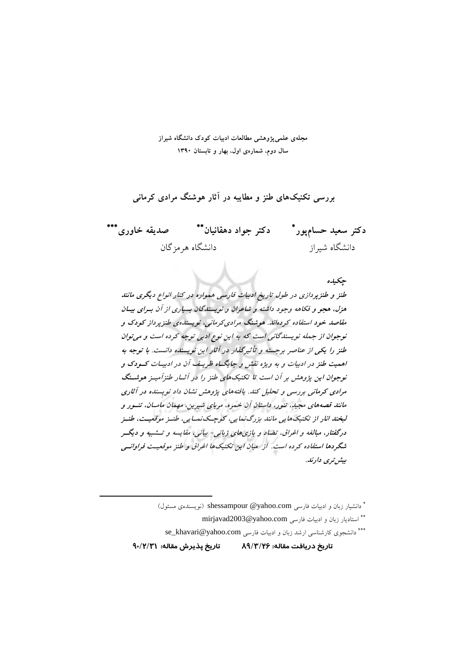محلهی علمی یژوهشی مطالعات ادبیات کودک دانشگاه شیراز سال دوم، شمارهی اول، بهار و تابستان ۱۳۹۰

بررسی تکنیکهای طنز و مطایبه در آثار هوشنگ مرادی کرمانی

دکتر سعید حسامٖپور\* دکتر جواد دهقانیان\*\* صدیقه خاوری\*\*\* دانشگاه هر مز گان دانشگاه شىراز

جكيده طنز و طنزیردازی در طول تاریخ ادبیات فارسی همواره در کنار انواع دیگری مانند هزل، هجو و فکاهه وجود داشته و شاعران و نویسندگان بسیاری از آن بهرای بیـان مقاصد خود استفاده کردهاند. هوشنگ مرادی کرمانی، نویسنده ی طنز پرداز کودک و توجوان از جمله نویسندگانی است که به این نوع ادبی توجه کرده است و می توان طنز را یکی از عناصر برجسته و تأثیرگذار در آثار این نویسنده دانست. با توجه به اهمیت طنز در ادبیات و به ویژه نقش و جایگ اه ظریف آن در ادبیـات کـودک و نوجوان این پژوهش بر آن است تا تکنیکهای طنز را در آثار طنزآمیهز هوشهنگ مرادی کرمانی بررسی و تحلیل کند. یافتههای پژوهش نشان داد نویسنده در آثاری مانند قصههای مجید، تنور، داستان آن خمره، مربای شیرین، مهمان مامـان، تنــور و لېغند انار از تکنيکهايې مانند ېزرگ نمايې، کوچيک نميايې، طنيز موقعيت، طنيز درگفتار، مبالغه و اغراق، تضاد و بازی های زبانی- بیانی، مقایسه و تــشبیه و دیگــر شگردها استفاده کرده است. از میان این تکنیکها اغراق و طنز موقعیت فراوانسی بیشر تری دارند.

\* دانشیار زبان و ادبیات فارسی shessampour @yahoo.com (نویسندهی مسئول)

\*\* استاديار زبان و ادبيات فارسي mirjavad2003@yahoo.com

\*\*\* دانشجوی کارشناسی ارشد زبان و ادبیات فارسی se\_khavari@yahoo.com

تاريخ يذيرش مقاله: ٩٠/٢/٣١ تاريخ دريافت مقاله: ۸۹/۳/۲۶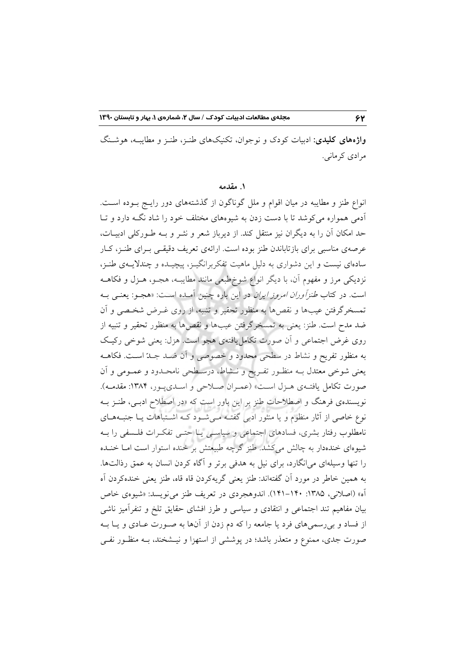**واژههای کلیدی**: ادبیات کودک و نوجوان، تکنیکهای طنـز، طنـز و مطایبـه، هوشـنگ مرادي کر ماني.

#### ۱. مقدمه

انواع طنز و مطایبه در میان اقوام و ملل گوناگون از گذشتههای دور رایـج بـوده اسـت. آدمی همواره می کوشد تا با دست زدن به شیوههای مختلف خود را شاد نگـه دارد و تــا حد امکان اَن را به دیگران نیز منتقل کند. از دیرباز شعر و نشر و بــه طــورکلی ادبیــات، عرصهی مناسبی برای بازتاباندن طنز بوده است. ارائهی تعریف دقیقـی بــرای طنــز، کــار سادهای نیست و این دشواری به دلیل ماهیت تفکربرانگیـز، پیچیـده و چندلایــهی طنـز، نزدیکی مرز و مفهوم آن، با دیگر انواع شوخطبعی مانند مطایب، هجـو، هـزل و فکاهــه است. در کتاب *طنز آوران امروز ایران* در این باره چنین آمـده اسـت: «هجـو: یعنـی بـه تمسخرگرفتن عیبها و نقصها به منظور تحقیر و تنبیه، از روی غـرض شخـصی و آن ضد مدح است. طنز: يعني به تمسخرگرفتن عيبها و نقصها به منظور تحقير و تنبيه از روی غرض اجتماعی و آن صورت تکامل یافتهی هجو است. هزل: یعنی شوخی رکیک به منظور تفریح و نشاط در سطحی محدود و خصوصی و آن ضـد جـدّ اسـت. فکاهــه یعنی شوخی معتدل بــه منظـور تفـریح و نــشاط، درسـطحی نامحــدود و عمــومی و آن صورت تكامل يافتـهي هـزل اسـت» (عمـران صـلاحي و اسـديپـور، ١٣٨۴: مقدمـه). نویسندهی فرهنگ و اصطلاحات طنز بر این باور است که «در اصطلاح ادبـی، طنـز بــه .<br>نوع خاصی از آثار منظوم و یا منثور ادبی گفتـه مـی شـود کـه اشـتباهات یــا جنبـههــای نامطلوب رفتار بشری، فسادهای اجتماعی و سیاسـی یـا حتـی تفکـرات فلـسفی را بــه شیوهای خندهدار به چالش میکشد. طنز گرچه طبیعتش بر خنده استوار است امـا خنــده را تنها وسیلهای می|نگارد، برای نیل به هدفی برتر و آگاه کردن انسان به عمق رذالتها. به همين خاطر در مورد آن گفتهاند: طنز يعني گريهكردن قاه قاه، طنز يعني خندهكردن آه آه» (اصلانی، ۱۳۸۵: ۱۴۰–۱۴۱). اندوهجردی در تعریف طنز می نویسد: «شیوهی خاص بیان مفاهیم تند اجتماعی و انتقادی و سیاسی و طرز افشای حقایق تلخ و تنفرآمیز ناشی از فساد و بی رسمی های فرد یا جامعه را که دم زدن از آنها به صـورت عــادی و یــا بــه صورت جدی، ممنوع و متعذر باشد؛ در پوششی از استهزا و نیــشخند، بــه منظــور نفــی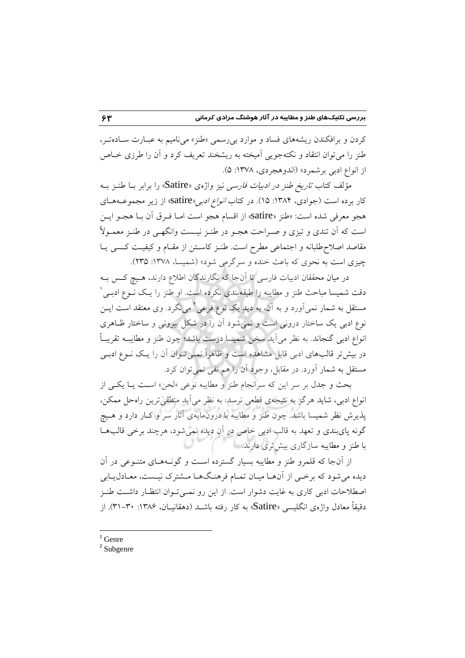کردن و برافکندن ریشههای فساد و موارد بی رسمی «طنز» می نامیم به عبـارت سـادهتـر، طنز را می توان انتقاد و نکتهجویی آمیخته به ریشخند تعریف کرد و آن را طرزی خــاص از انواع ادبي برشمرد» (اندوهجردي، ١٣٧٨: ۵).

مؤلف كتاب *تاريخ طنز در ادبيات فارسي* نيز واژهي «Satire» را برابر بــا طنــز بــه کار برده است (جوادی، ۱۳۸۴: ۱۵). در کتاب *انواع ادبی*«satire» از زیر مجموعــههـای هجو معرفي شده است: «طنز «satire» از اقسام هجو است امـا فـرق أن بـا هجـو ايـن است که اَن تندی و تیزی و صـراحت هجـو در طنـز نیـست وانگهـی در طنـز معمـولاً مقاصد اصلاح طلبانه و اجتماعی مطرح است. طنـز کاسـتن از مقـام و کیفیـت کـسی یـا چیزی است به نحوی که باعث خنده و سرگرمی شود» (شمسا، ۱۳۷۸: ۲۳۵).

در میان محققان ادبیات فارسی تا آنجا که نگارندگان اطلاع دارند، هـیچ کـس بــه دقت شمیسا مباحث طنز و مطایبه را طبقهبندی نکرده است. او طنز را یـک نــوع ادبــی ٔ مستقل به شمار نمیآورد و به آن، به دیلرِ یک نوع فرعی<sup>۲</sup> می $\mathcal{Z}_i$ د. وی معتقد است ایــن نوع ادبی یک ساختار درونی است و نمی شود آن را در شکل بیرونی و ساختار ظـاهری انواع ادبی گنجاند. به نظر می آید سخن شمیسا درست باشد؛ چون طنز و مطایب تقریباً در بیش تر قالبهای ادبی قابل مشاهده است و ظاهراً نمـیتـوان آن را یـک نــوع ادبـی مستقل به شمار اَورد. در مقابل، وجود اَن را هم نفي نمي توان كرد.

بحث و جدل بر سر این که سرانجام طنز و مطایبه نوعی «لحن» است یـا یکـی از انواع ادبی، شاید هرگز به نتیجهیِ قطعی نرسد. به نظر می آید منطقی ترین راهحل ممکن، پذیرش نظر شمیسا باشد. چون طنز و مطایبه با درونمایهی آثار سر و کـار دارد و هـیچ گونه پایبندی و تعهد به قالب ادبی خاص در آن دیده نمیشود، هرچند برخی قالبها با طنز و مطایبه سازگاری بیشتری دارند.

از آنجا که قلمرو طنز و مطايبه بسيار گسترده است و گونــههــاي متنــوعي در آن دیده می شود که برخبی از آنهـا میـان تمـام فرهنـگ&ـا مـشترک نیـست، معـادل1یـابی اصطلاحات ادبی کاری به غایت دشوار است. از این رو نمـیتوان انتظـار داشـت طنـز دقیقاً معادل واژهی انگلیسی «Satire» به کار رفته باشــد (دهقانیــان، ۱۳۸۶: ۳۰–۳۱). از

 $1$  Genre

 $2$  Subgenre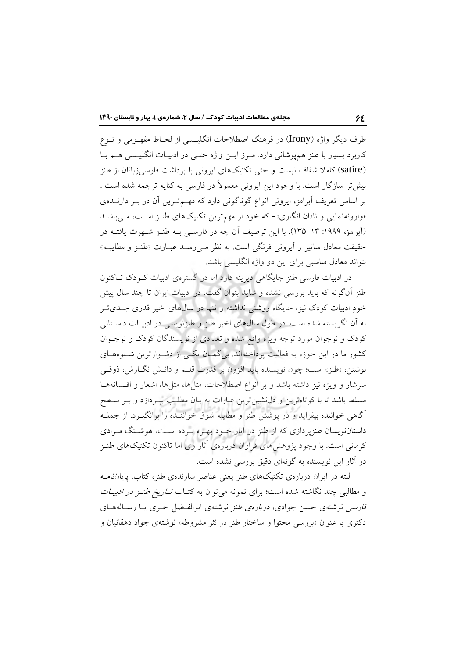طرف دیگر واژه (Irony) در فرهنگ اصطلاحات انگلیسیی از لحـاظ مفهـومی و نــوع کاربرد بسیار با طنز همپوشانی دارد. مـرز ایـن واژه حتـی در ادبیـات انگلیـسی هــم بـا (satire) کاملا شفاف نیست و حتی تکنیکهای ایرونی با برداشت فارسیزبانان از طنز بيش تر سازگار است. با وجود اين ايروني معمولاً در فارسي به كنايه ترجمه شده است . بر اساس تعریف آبرامز، ایرونی انواع گوناگونی دارد که مهسمترین آن در بـر دارنــدهی «وارونهنمایی و نادان انگاری»- که خود از مهمترین تکنیکهای طنز است، می باشد (آبرامز، ۱۹۹۹: ۱۳–۱۳۵). با این توصیف آن چه در فارسبی بـه طنـز شـهرت یافتـه در حقيقت معادل ساتير و أيروني فرنگي است. به نظر مـي(سـد عبـارت «طنـز و مطايبـه» بتواند معادل مناسبی برای این دو واژه انگلیسی باشد.

در ادبیات فارسی طنز جایگاهی دیرینه دارد اما در گسترهی ادبیات کـودک تـاکنون طنز آنگونه که باید بررسی نشده و شاید بتوان گفت، در ادبیات ایران تا چند سال پیش خودِ ادبیات کودک نیز، جایگاه روشنی نداشته و تنها در سالهای اخیر قدری جـدیتر به آن نگریسته شده است. در طول سالهای اخیر طنز و طنزنویسی در ادبیـات داسـتانی کودک و نوجوان مورد توجه ویژه واقع شده و تعدادی از نویسندگان کودک و نوجـوان کشور ما در این حوزه به فعالیت پرداختهاند. بی گمـان یکـی از دشـوارترین شـیوههـای نوشتن، «طنز» است؛ چون نویسنده باید افزون بر قدرت قلــم و دانــش نگــارش، ذوقــی سرشار و ویژه نیز داشته باشد و بر انواع اصطلاحات، مثلها، متلها، اشعار و افسانههـا مسلط باشد تا با کوتاهترین و دل نشین ترین عبارات به بیان مطلب بیـردازد و بـر سـطح آگاهی خواننده بیفزاید و در پوشش طنز و مطایبه شوق خواننـده را برانگیـزد. از جملـه داستاننویسان طنزپردازی که از طنز در آثار خــود بهــره بــرده اســت، هوشــنگ مــرادی کرمانی است. با وجود پژوهشهای فراوان دربارهی آثار وی اما تاکنون تکنیکهای طنـز در آثار این نویسنده به گونهای دقیق بررسی نشده است.

البته در ایران دربارهی تکنیکهای طنز یعنی عناصر سازندهی طنز، کتاب، پایانiامـه و مطالبی چند نگاشته شده است؛ برای نمونه میتوان به کتـاب *تــاریخ طنــز در ادبیــات* فارسی نوشتهی حسن جوادی، *دربارهی طنز* نوشتهی ابوالفها حری یا رسالههای دکتری با عنوان «بررسی محتوا و ساختار طنز در نثر مشروطه» نوشتهی جواد دهقانیان و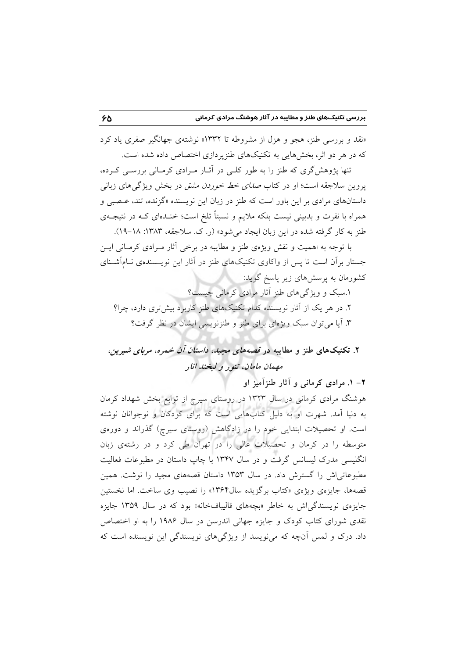«نقد و بررسی طنز، هجو و هزل از مشروطه تا ۱۳۳۲» نوشتهی جهانگیر صفری یاد کرد که در هر دو اثر، بخش هایی به تکنیکهای طنزیر دازی اختصاص داده شده است.

تنها پژوهشگری که طنز را به طور کلبی در آثـار مـرادی کرمـانی بررسـی کـرده، یووین سلاجقه است؛ او در کتاب *صدای خط خوردن مشق* در بخش ویژگی۵ای زبانی داستانهای مرادی بر این باور است که طنز در زبان این نویسنده «گزنده، تند، عـصبی و همراه با نفرت و بدبینی نیست بلکه ملایم و نسبتاً تلخ است؛ خنـدهای کـه در نتیجـهی طنز به کار گرفته شده در این زبان ایجاد میشود» (ر. ک. سلاجقه، ۱۳۸۳: ۱۸–۱۹).

با توجه به اهمیت و نقش ویژهی طنز و مطایبه در برخی آثار مـرادی کرمـانی ایــن جستار برأن است تا پس از واكاوى تكنيكهاى طنز در آثار اين نويـسندهى نــامأشــناى کشورمان به پرسشهای زیر پاسخ گوید:

۱.سبک و ویژگیهای طنز آثار مرادی کرمانی چیست؟ ۲. در هر یک از آثار نویسنده کدام تکنیکهای طنز کاربرد بیش تری دارد، چرا؟ ۳. آیا می توان سبک ویژهای برای طنز و طنزنویسی ایشان در نظر گرفت؟

# ۲. تکنیکهای طنز و مطایبه در قصهه*ای مجید، داستان آن خمره، مربای شیرین*، مهمان مامان، تنور و لبخند انار

۲- ۱. مرادی کرمانی و آثار طنزآمیز او

هوشنگ مرادی کرمانی در سال ۱۳۲۳ در روستای سپرچ از توابع بخش شهداد کرمان به دنیا آمد. شهرت او به دلیل کتابهایی است که برای کودکان و نوجوانان نوشته است. او تحصیلات ابتدایی خود را در زادگاهش (روستای سیرچ) گذراند و دورهی متوسطه را در کرمان و تحصیلات عالمی را در تهران طی کرد و در رشتهی زبان انگلیسی مدرک لیسانس گرفت و در سال ۱۳۴۷ با چاپ داستان در مطبوعات فعالیت مطبوعاتی اش را گسترش داد. در سال ۱۳۵۳ داستان قصههای مجید را نوشت. همین قصهها، جایزهی ویژهی «کتاب برگزیده سال۱۳۶۴» را نصیب وی ساخت. اما نخستین جایزه ی نویسندگی اش به خاطر «بچههای قالیبافخانه» بود که در سال ۱۳۵۹ جایزه نقدی شورای کتاب کودک و جایزه جهانی اندرسن در سال ۱۹۸۶ را به او اختصاص داد. درک و لمس آنچه که می نویسد از ویژگیهای نویسندگی این نویسنده است که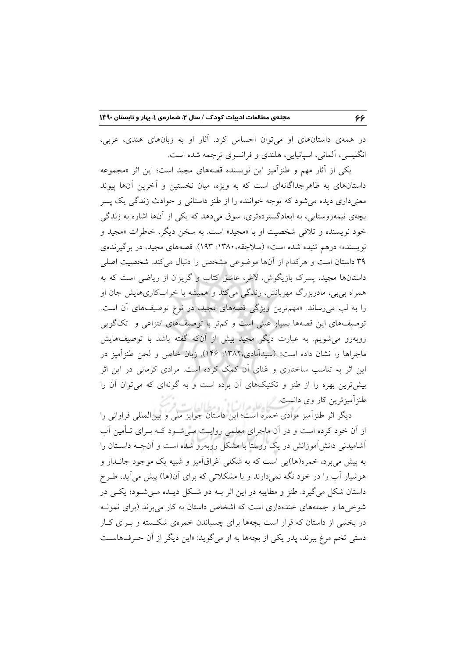در همهی داستانهای او میتوان احساس کرد. آثار او به زبانهای هندی، عربی، انگلیسی، آلمانی، اسپانیایی، هلندی و فرانسوی ترجمه شده است.

یکی از آثار مهم و طنزآمیز این نویسنده قصههای مجید است؛ این اثر «مجموعه داستانهای به ظاهرجداگانهای است که به ویژه، میان نخستین و آخرین آنها پیوند معنیداری دیده می شود که توجه خواننده را از طنز داستانی و حوادث زندگی یک پسر بچهی نیمهروستایی، به ابعادگستردهتری، سوق میدهد که یکی از آنها اشاره به زندگی خود نويسنده و تلاقي شخصيت او با «مجيد» است. به سخن ديگر، خاطرات «مجيد و نویسنده» درهم تنیده شده است» (سلاجقه، ۱۳۸۰: ۱۹۳). قصههای مجید، در برگیرندهی ۳۹ داستان است و هركدام از آنها موضوعی مشخص را دنبال میکند. شخصیت اصلی داستانها مجید، پسرک بازیگوش، لاغر، عاشق کتاب و گریزان از ریاضی است که به همراه بی بی، مادربزرگ مهربانش، زندگی میکند و همیشه با خرابکاریهایش جان او را به لب میرساند. «مهمترین ویژگی قصههای مجید، در نوع توصیفهای آن است. توصیفهای این قصهها بسیار عینی است و کمتر با توصیفهای انتزاعی و تکگویی روبهرو می شویم. به عبارت دیگر مجید بیش از آنکه گفته باشد با توصیفهایش ماجراها را نشان داده است» (سيداًبادي،١٣٨٢: ١۴۶). زبان خاص و لحن طنزآميز در این اثر به تناسب ساختاری و غنای آن کمک کرده است. مرادی کرمانی در این اثر بیش ترین بهره را از طنز و تکنیکهای آن برده است و به گونهای که میتوان آن را

طنزآمیزترین کار وی دانست.<br>دیگر اثر طنزآمیز مرادی خمره است؛ این داستان جوایز ملی و بین|لمللی فراوانی را از اّن خود کرده است و در اّن ماجرای معلمی روایـت مـی شـود کـه بـرای تــأمین اّب آشامیدنی دانش آموزانش در یک روستا با مشکل روبهرو شده است و آنچـه داسـتان را به پیش می برد، خمره(ها)یی است که به شکلی اغراقآمیز و شبیه یک موجود جانــدار و هوشیار آب را در خود نگه نمیدارند و با مشکلاتی که برای آن(ها) پیش میآید، طـرح داستان شکل می گیرد. طنز و مطایبه در این اثر بـه دو شکل دیـده مـی شـود؛ یکـی در شوخی ها و جملههای خندهداری است که اشخاص داستان به کار می برند (برای نمونـه در بخشی از داستان که قرار است بچهها برای چسباندن خمرهی شکسته و بـرای کـار دستی تخم مرغ ببرند، پدر یکی از بچهها به او میگوید: «این دیگر از آن حـرفهاسـت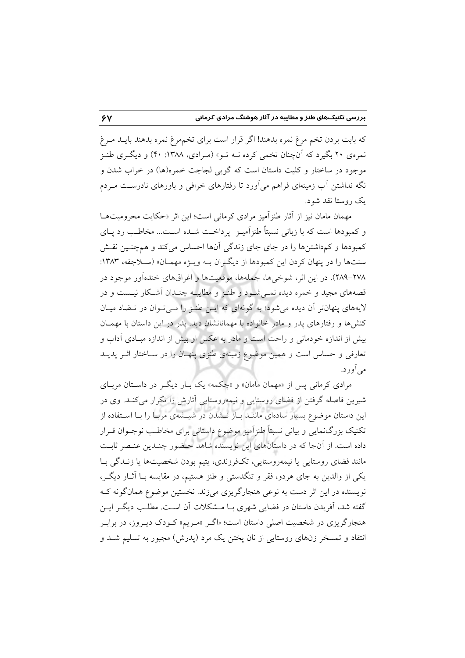كه بابت بردن تخم مرغ نمره بدهند! اگر قرار است براي تخمهرغ نمره بدهند بايـد مـرغ نمرهی ۲۰ بگیرد که آنچنان تخمی کرده نــه تــو» (مــرادی، ۱۳۸۸: ۴۰) و دیگــری طنــز موجود در ساختار و کلیت داستان است که گویی لجاجت خمره(ها) در خراب شدن و نگه نداشتن آب زمینهای فراهم میآورد تا رفتارهای خرافی و باورهای نادرست مـردم یک روستا نقد شود.

مهمان مامان نیز از آثار طنزآمیز مرادی کرمانی است؛ این اثر «حکایت محرومیتهـا و کمبودها است که با زبانی نسبتاً طنز آمیـز پرداخـت شــده اســت... مخاطـب رد پــای کمبودها و کمداشتن ها را در جای جای زندگی آنها احساس میکند و همچنـین نقـش سنتها را در پنهان کردن این کمبودها از دیگران بـه ویـژه مهمـان» (سـلاجقه، ۱۳۸۳: ٢٧٨-٢٨٩). در اين اثر، شوخي ها، جملهها، موقعيتها و اغراق هاي خندهآور موجود در قصههای مجید و خمره دیده نمـیشـود و طنـز و مطایبـه چنـدان آشـكار نیـست و در لایههای پنهانتر آن دیده میشود؛ به گونهای که ایـن طنـز را مـیتـوان در تـضاد میـان کنشها و رفتارهای پدر و مادر خانواده با مهمانانشان دید. یدر در این داستان با مهمـان بیش از اندازه خودمانی و راحت است و مادر به عکس او بیش از اندازه مبـادی آداب و تعارفی و حساس است و همین موضوع زمینهی طنزی پنهـان را در سـاختار اثـر یدیـد می آورد.

مرادي کرماني پس از «مهمان مامان» و «چکمه» يک بـار ديگـر در داسـتان مربـاي شیرین فاصله گرفتن از فضای روستایی و نیمهروستایی آثارش را تکرار میکند. وی در این داستان موضوع بسیار سادهای ماننـد بـاز نــشدن در شیــشهی مربـا را بـا اســتفاده از تکنیک بزرگنمایی و بیانی نسبتاً طنزآمیز موضوع داستانی برای مخاطب نوجــوان قــرار داده است. از آنجا که در داستانهای این نویسنده شاهد حـضور چنـدین عنـصر ثابـت مانند فضای روستایی یا نیمەروستایی، تکفرزندی، پتیم بودن شخصیتها یا زنــدگی بــا یکی از والدین به جای هردو، فقر و تنگدستی و طنز هستیم، در مقایسه بــا آثــار دیگــر، نویسنده در این اثر دست به نوعی هنجارگریزی میزند. نخستین موضوع همانگونه ک گفته شد، آفریدن داستان در فضایی شهری بـا مـشکلات آن اسـت. مطلـب دیگـر ایـن هنجارگریزی در شخصیت اصلی داستان است؛ «اگـر «مـریم» کـودک دیـروز، در برابـر انتقاد و تمسخر زنهای روستایی از نان پختن یک مرد (پدرش) مجبور به تسلیم شـد و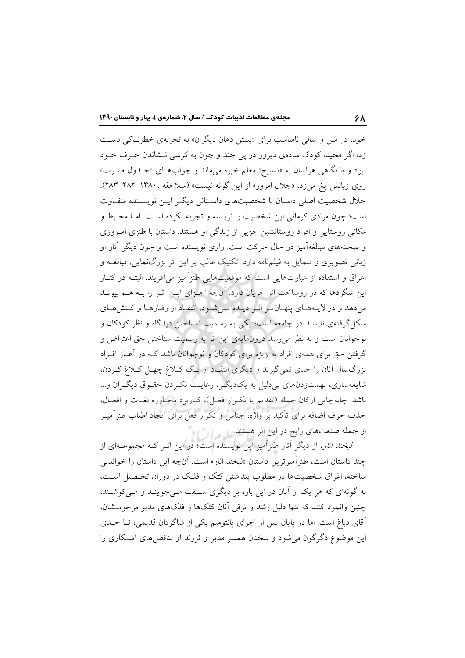خود، در سن و سالي نامناسب براي «بستن دهان ديگران» به تجربهي خطرنساكي دست زد، اگر مجید، کودک سادهی دیروز در پی چند و چون به کرسی نـشاندن حـرف خــود نبود و با نگاهی هراسان به «تسبیح» معلم خیره میماند و جوابهای «جـدول ضـرب» روی زبانش یخ میزد، «جلال امروز» از این گونه نیست» (سلاجقه ،۱۳۸۰: ۲۸۲–۲۸۳). جلال شخصیت اصلی داستان با شخصیتهای داسـتانی دیگـر ایــن نویـسنده متفـاوت است؛ چون مرادي كرماني اين شخصيت را نزيسته و تجربه نكرده است. امـا محـيط و مکانی روستایی و افراد روستانشین جزیبی از زندگی او هستند. داستان با طنزی امروزی و صحنههای مبالغهآمیز در حال حرکت است. راوی نویسنده است و چون دیگر آثار او زبانی تصویری و متمایل به فیلمنامه دارد. تکنیک غالب بر این اثر بزرگنمایی، مبالغــه و اغراق و استفاده از عبارتهایی است که موقعیتهایی طنزآمیز میآفریند. البتـه در کنـار این شگردها که در روساخت اثر جریان دارد، آنچه اجـزای ایـن اثـر را بـه هـم پیونـد میدهد و در لایـههـای پنهـانتـر اثـر دیـده مـیشـود، انتقـاد از رفتارهـا و كـنشهـای شکل گرفتهی نایسند در جامعه است؛ یکی به رسمیت نشناختن دیدگاه و نظر کودکان و .<br>نوجوانان است و به نظر می رسد درونهایهی این اثر به رسمیت شناختن حق اعتراض و گرفتن حق برای همهی افراد به ویژه برای کودکان و نوجوانان باشد کـه در آغــاز افــراد بزرگسال آنان را جدی نمیگیرند و دیگری انتقـاد از یـک کـلاغ چهـل کـلاغ کـردن، شايعهسازي، تهمتزدنهاي بي دليل به يک ديگر، رعايت نکردن حقـوق ديگـران و... باشد. جابهجایی ارکان جمله (تقدیم یا تکرار فعـل)، کـاربرد محـاوره لغـات و افعـال، حذف حرف اضافه برای تأکید بر واژه، جناس و تکرار فعل برای ایجاد اطناب طنزآمیـز

از جمله صنعتهای رایج در این اثر هستند.<br>*لبخند انار*، از دیگر آثار طنزاًمیز این نویسنده است؛ در این اثــر کــه مجموعــهای از چند داستان است، طنز آمیز ترین داستان «لبخند انار» است. آنچه این داستان را خواندنی ساخته، اغراق شخصیتها در مطلوب پنداشتن کتک و فلـک در دوران تحـصیل اسـت، به گونهای که هر یک از آنان در این باره بر دیگری سبقت مـیجوینـد و مـیکوشـند، چنین وانمود کنند که تنها دلیل رشد و ترقی آنان کتکها و فلکهای مدیر مرحومشان، آقای دباغ است. اما در پایان پس از اجرای پانتومیم یکی از شاگردان قدیمی، تــا حــدی این موضوع دگرگون می شود و سخنان همسر مدیر و فرزند او تناقضهای آشکاری را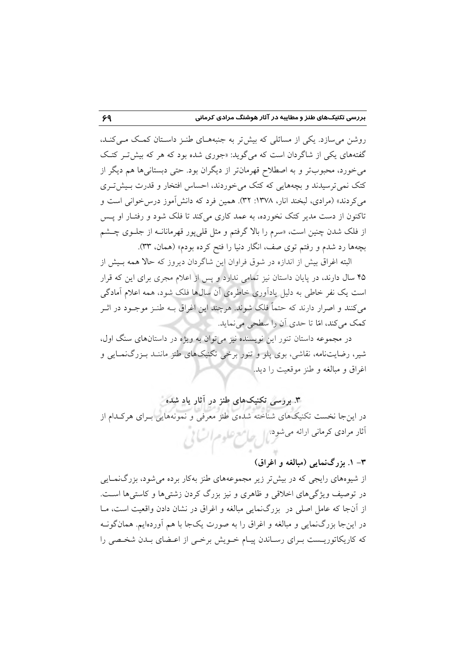روشن می سازد. یکی از مسائلی که بیش تر به جنبههـای طنـز داسـتان کمـک مـی کنـد، گفتههای یکی از شاگردان است که میگوید: «جوری شده بود که هر که بیش *ت*ر کتک میخورد، محبوبتر و به اصطلاح قهرمانتر از دیگران بود. حتی دبستانیها هم دیگر از کتک نمی ترسیدند و بچههایی که کتک می خوردند، احساس افتخار و قدرت بـیش تـری می کردند» (مرادی، لبخند انار، ۱۳۷۸: ۳۲). همین فرد که دانش آموز درس خوانی است و تاکنون از دست مدیر کتک نخورده، به عمد کاری میکند تا فلک شود و رفتـار او پـس از فلک شدن چنین است، «سرم را بالا گرفتم و مثل قل<sub>ی</sub>پور قهرمانانــه از جلــوی چــشم بچهها رد شدم و رفتم توی صف، انگار دنیا را فتح کرده بودم» (همان، ۳۳).

البته اغراق بیش از اندازه در شوق فراوان این شاگردان دیروز که حالا همه بـیش از ۴۵ سال دارند، در پایان داستان نیز تمامی ندارد و پس از اعلام مجری برای این که قرار است یک نفر خاطی به دلیل یادآوری خاطرهی آن سالها فلک شود، همه اعلام آمادگی میکنند و اصرار دارند که حتماً فلک شوند. هرچند این اغراق بــه طنــز موجــود در اثــر كمك مي كند، امّا تا حدى أن را سطحي مي نمايد.

در مجموعه داستان تنور این نویسنده نیز می توان به ویژه در داستانهای سنگ اول، شیر، رضایتنامه، نقاشی، بوی پلو و تنور برخی تکنیکهای طنز ماننـد بـزرگنمـایی و اغراق و مبالغه و طنز موقعیت را دید.

# ۳. بررسی تکنیکهای طنز در آثار یاد شده

در این جا نخست تکنیکهای شناخته شدهی طنز معرفی و نمونههایی بـرای هرکـدام از أثار مرادى كرمانى ارائه مىشود. إلى صامع علوم السائي

### ۳- ۱. بزرگنمایی (مبالغه و اغراق)

از شیوههای رایجی که در بیشتر زیر مجموعههای طنز بهکار برده می شود، بزرگنمـایی در توصیف ویژگیهای اخلاقی و ظاهری و نیز بزرگ کردن زشتیها و کاستیها است. از آنجا که عامل اصلی در بزرگنمایی مبالغه و اغراق در نشان دادن واقعیت است، مــا در اینجا بزرگنمایی و مبالغه و اغراق را به صورت یکجا با هم آوردهایم. همانگونــه که کاریکاتوریـست بـرای رسـاندن پیـام خـویش برخـی از اعـضای بـدن شخـصی را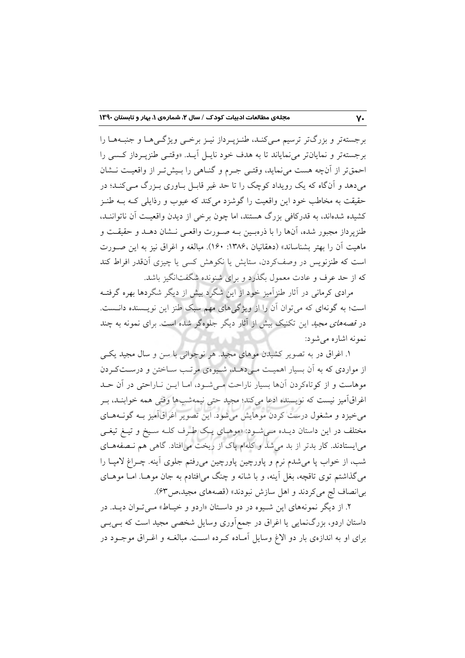برجستهتر و بزرگتر ترسیم مـیکنـد، طنـزپـرداز نیـز برخـی ویژگـی هـا و جنبـههـا را برجستهتر و نمایانتر می نمایاند تا به هدف خود نایـل آیـد. «وقتـی طنزپـرداز کـسی را احمقتر از آنچه هست می نماید، وقتـی جـرم و گنـاهی را بـیشتر از واقعیـت نـشان می،دهد و آنگاه که یک رویداد کوچک را تا حد غیر قابـل بـاوری بـزرگ مـی کنـد؛ در حقیقت به مخاطب خود این واقعیت را گوشزد میکند که عیوب و رذایلی کـه بــه طنــز کشیده شدهاند، به قدرکافی بزرگ هستند، اما چون برخی از دیدن واقعیت آن ناتواننــد، طنزیرداز مجبور شده، آنها را با ذرهبـین بــه صــورت واقعــی نــشان دهــد و حقیقــت و ماهيت أن را بهتر بشناساند» (دهقانيان ١٣٨۶: ١٤٠). مبالغه و اغراق نيز به اين صـورت است که طنزنویس در وصفکردن، ستایش یا نکوهش کسی یا چیزی آنقدر افراط کند که از حد عرف و عادت معمول بگذرد و برای شنونده شگفتانگیز باشد.

مرادی کرمانی در آثار طنزآمیز خود از این شگرد بیش از دیگر شگردها بهره گرفتـه است؛ به گونهای که می توان آن را از ویژگیهای مهم سبک طنز این نویسنده دانست. در *قصههای مجید* این تکنیک بیش از آثار دیگر جلوهگر شده است. برای نمونه به چند نمونه اشاره مے شود:

۱. اغراق در به تصویر کشیدن موهای مجید. هر نوجوانی با سن و سال مجید یکبی از مواردی که به آن بسیار اهمیت میدهـلم، شمیوهی مرتـب سـاختن و درسـتکردن موهاست و از کوتاهکردن آنها بسیار ناراحت مےشود، امـا ایــن نــاراحتی در آن حــد اغراقآمیز نیست که نویسنده ادعا میکند؛ مجید حتی نیمهشبها وقتی همه خوابنـد، بـر می خیزد و مشغول درست کردن موهایش می شود. این تصویر اغراق آمیز بـه گونــههـای مختلف در این داستان دیـده مـیشـود: «موهـای یـک طـرف کلـه سـیخ و تیـغ تیغـی می|یستادند. کار بدتر از بد میشد و کلهام پاک از ریخت می|فتاد. گاهی هم نـصفههـای شب، از خواب پا می شدم نرم و پاورچین پاورچین می رفتم جلوی آینه. چــراغ لامپــا را میگذاشتم توی تاقچه، بغل آینه، و با شانه و چنگ میافتادم به جان موهـا. امـا موهـای بي انصاف لج مي كردند و اهل سازش نبودند» (قصههاي مجيد،ص٣٣).

۲. از دیگر نمونههای این شـیوه در دو داسـتان «اردو و خیـاط» مـی تـوان دیـد. در داستان اردو، بزرگ $نمایی یا اغراق در جمع|َوری وسایل شخصی مجید است که بـیبـی$ برای او به اندازهی بار دو الاغ وسایل آمـاده کـرده اسـت. مبالغــه و اغــراق موجــود در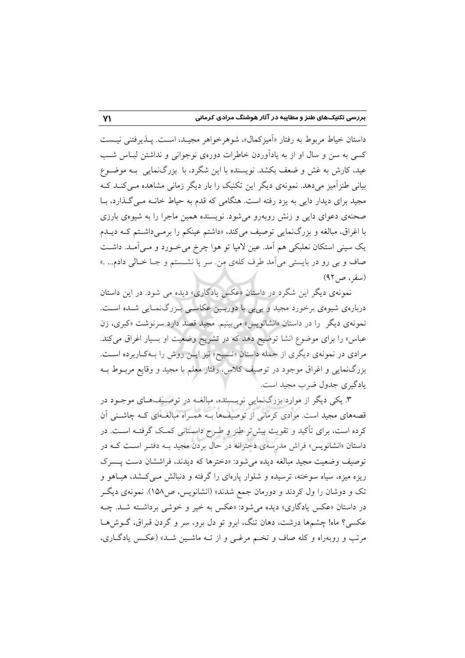داستان خياط مربوط به رفتار «اَميزكمال»، شوهرخواهر مجيـد، اسـت. يــذيرفتني نيــست کسی به سن و سال او از به یادآوردن خاطرات دورهی نوجوانی و نداشتن لبـاس شـب عید، کارش به غش و ضعف بکشد. نویسنده با این شگرد، با بزرگنمایی بـه موضـوع بیانی طنزآمیز میدهد. نمونهی دیگر این تکنیک را بار دیگر زمانی مشاهده مـی کنــد کــه مجید برای دیدار دایی به یزد رفته است. هنگامی که قدم به حیاط خانــه مــی گــذارد، بــا صحنهی دعوای دایی و زنش روبهرو می شود. نویسنده همین ماجرا را به شیوهی بارزی با اغراق، مبالغه و بزرگنمایی توصیف میکند، «داشتم عینکم را برمـیداشـتم کـه دیـلـم يک سيني استکان نعلبکي هم اَمد. عين لامپا تو هوا چرخ مي خـورد و مـي اَمـد. داشـت صاف و بي رو در بايستي مي آمد طرف كلهي من سر يا نشــستم و جــا خــالي دادم... .» (سفر، ص ۹۲)

نمونهی دیگر این شگرد در داستان «عکس یادگاری» دیده می شود. در این داستان دربارهی شیوهی برخورد مجید و بیبی با دوربـین عکاســی بـزرگ(نمـایی شــده اســت. نمونهی دیگر را در داستان «انشانویس» میبینیم. مجید قصد دارد سرنوشت «کبری، زن عباس» را برای موضوع انشا توضیح دهد که در تشریح وضعیت او بسیار اغراق میکند. مرادی در نمونهی دیگری از جمله داستان «تسبیح» نیز ایـن روش را بـهکـاربرده اسـت. بزرگنمایی و اغراق موجود در توصیف کلاس، رفتار معلم با مجید و وقایع مربـوط بـه یادگیری جدول ضرب مجید است.

۳. یکی دیگر از موارد بزرگنمایی نویسنده، مبالغـه در توصـیفهـای موجـود در قصههای مجید است. مرادی کرمانی از توصیفها بـه همـراه مبالغـهای کـه چاشـنی آن کرده است، برای تأکید و تقویت بیش تر طنز و طـرح داسـتانی کمـک گرفتـه اسـت. در داستان «انشانویس» فراش مدرسهی دخترانه در حال بردن مجید بـه دفتـر اسـت کـه در توصيف وضعيت مجيد مبالغه ديده مي شود: «دخترها كه ديدند، فراششان دست يـسرك ریزه میزه، سیاه سوخته، ترسیده و شلوار پارهای را گرفته و دنبالش مـیکشد، هیـاهو و تک و دوشان را ول کردند و دورمان جمع شدند» (انشانویس، ص۱۵۸). نمونهی دیگر در داستان «عکس یادگاری» دیده می شود: «عکس به خیر و خوشی برداشته شـد. چـه عکسی؟ ماه! چشمها درشت، دهان تنگ، ابرو تو دل برو، سر و گردن قبراق، گــوشهــا مرتب و روبهراه و کله صاف و تخم مرغبی و از تـه ماشـین شـد» (عکـس یادگـاری،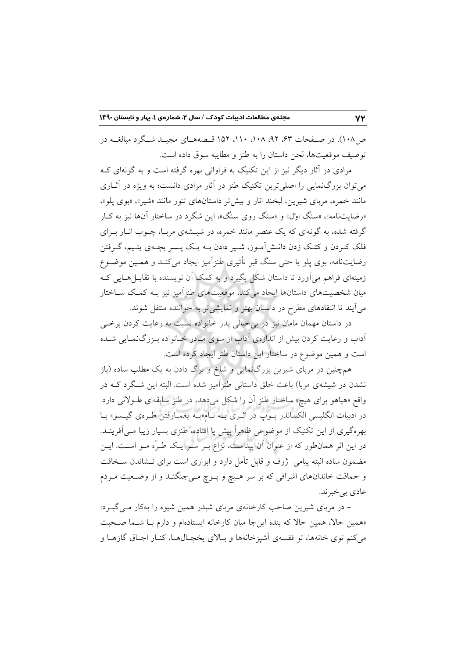ص ۱۰۸). در صفحات ۶۳، ۹۲، ۱۰۸، ۱۱۰، ۱۵۲ قبصههبای مجب شگرد میالغیه در توصيف موقعيتها، لحن داستان را به طنز و مطايبه سوق داده است.

مرادی در آثار دیگر نیز از این تکنیک به فراوانی بهره گرفته است و به گونهای ک می توان بزرگ نمایی را اصلی ترین تکنیک طنز در آثار مرادی دانست؛ به ویژه در آثــاری مانند خمره، مربای شیرین، لبخند انار و بیش تر داستانهای تنور مانند «شیر»، «بوی پلو»، «رضایتنامه»، «سنگ اول» و «سنگ روی سنگ»، این شگرد در ساختار آنها نیز به کـار گرفته شده، به گونهای که یک عنصر مانند خمره، در شیــشهی مربـا، چــوب انــار بــرای فلک کـردن و کتـک زدن دانــش|مــوز، شــير دادن بــه يــک يــسر بچــهي يتـيـم، گــرفتن رضایتنامه، بوی پلو یا حتی سنگ قبر تأثیری طنز آمیز ایجاد می کنـد و همـین موضـوع زمینهای فراهم می آورد تا داستان شکل بگیرد و به کمک آن نویسنده با تقابـل هــایی کــه میان شخصیتهای داستانها ایجاد میکند، موقعیتهای طنزآمیز نیز بـه کمـک ســاختار میآیند تا انتقادهای مطرح در داستان بهتر و نمایشی تر به خواننده منتقل شوند.

در داستان مهمان مامان نیز در بی خیالی پدر خانواده نسبت به رعایت کردن برخی آداب و رعایت کردن بیش از اندازهی اَداب از سوی مـادر خـانواده بـزرگـنمـایی شـده است و همین موضوع در ساختار این داستان طنز ایجاد کرده است.

همچنین در مربای شیرین بزرگنمایی و شاخ و برگ دادن به یک مطلب ساده (باز نشدن در شیشهی مربا) باعث خلق داستانی طنزآمیز شده است. البته این شـگرد کــه در واقع «هیاهو برای هیچ» ساختار طنز آن را شکل میدهد، در طنز سابقهای طـولانی دارد. در ادبیات انگلیسی الکساندر پـوپ در اثـری بـه نـام«بـه یغمـارفتن طـرهی گیـسو» بـا بهرهگیری از این تکنیک از موضوعی ظاهراً پیش یا افتاده، طنزی بسیار زیبا مـی اَفرینــد. در این اثر همانطور که از عنوان آن پیداست، نزاع بـر سـر یـک طـرّه مـو اسـت. ایـن مضمون ساده البته پیامی ِ ژرف و قابل تأمل دارد و ابزاری است برای نــشاندن ســخافت و حماقت خاندانهای اشرافی که بر سر هیچ و پـوچ مـیجنگنـد و از وضـعیت مـردم عادي بي خبر ند.

- در مربای شیرین صاحب کارخانهی مربای شبدر همین شیوه را بهکار مـی گیـرد: «همین حالا، همین حالا که بنده اینجا میان کارخانه ایستادهام و دارم بـا شـما صـحبت می کنم توی خانهها، تو قفسهی آشپزخانهها و بـالای یخچـال۵مـا، کنـار اجـاق گازهـا و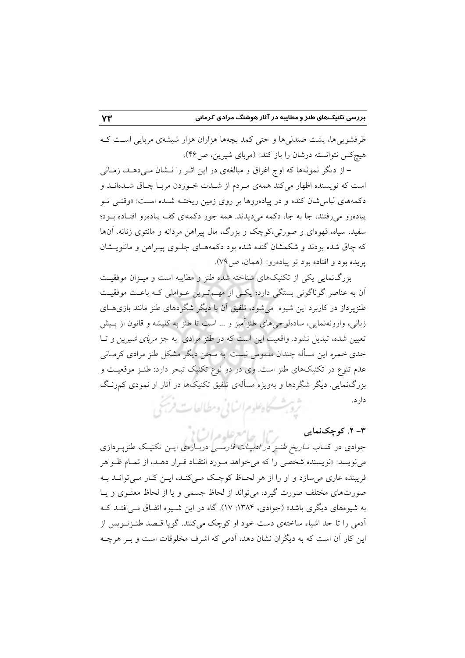ظرفشویی ها، پشت صندلی ها و حتی کمد بچهها هزاران هزار شیشهی مربایی است ک هیچکس نتوانسته درشان را باز کند» (مربای شیرین، ص۴۶).

– از دیگر نمونهها که اوج اغراق و مبالغهی در این اثــر را نــشان مــی۵هــد، زمــانـی است که نویسنده اظهار میکند همهی مردم از شـدت خـوردن مربـا چـاق شـدهانـد و دکمههای لباسشان کنده و در پیادهروها بر روی زمین ریختـه شـده اسـت: «وقتـی تـو پیادهرو می رفتند، جا به جا، دکمه می دیدند. همه جور دکمهای کف پیادهرو افتـاده بـود؛ سفید، سیاه، قهوهای و صورتی،کوچک و بزرگ، مال پیراهن مردانه و مانتوی زنانه. آنها که چاق شده بودند و شکمشان گنده شده بود دکمههـای جلـوی پیـراهن و مانتویــشان يريده بود و افتاده بود تو پياده رو» (همان، ص ۷۹).

بزرگ $\epsilon$ نمایی یکی از تکنیکهای شناخته شده طنز و مطایبه است و میـزان موفقیـت آن به عناصر گوناگونی بستگی دارد؛ یکسی از مهم ترین عـواملی کـه باعـث موفقیـت طنزپرداز در کاربرد این شیوه می شود، تلفیق آن با دیگر شگردهای طنز مانند بازی های زبانی، وارونهنمایی، سادهلوحیهای طنزآمیز و … است تا طنز به کلیشه و قانون از پـیش تعیین شده، تبدیل نشود. واقعیت این است که در طنز مرادی به جز *مربای شیرین و* تــا حدی خمره این مسأله چندان ملموس نیست. به سخن دیگر مشکل طنز مرادی کرمـانی عدم تنوع در تکنیکهای طنز است. وی در دو نوع تکنیک تبحر دارد: طنـز موقعیـت و بزرگنمایی. دیگر شگردها و بهویژه مسألهی تلفیق تکنیکها در آثار او نمودی کمرنگ دار د.

ثروبث كاهلوم السابي ومطالعات فريحي

۳- ۲. کوچکنمایی ر"ال جامع علوم السابق جوادی در کتـاب *تــاریخ طنــز در ادبیــات فارســی* دربــارهی ایــن تکنیــک طنزپــردازی می نویسد: «نویسنده شخصی را که می خواهد مـورد انتقـاد قـرار دهـد، از تمـام ظـواهر فریبنده عاری می سازد و او را از هر لحـاظ کوچـک مـی کنـد، ایــن کـار مـی توانــد بــه صورتهای مختلف صورت گیرد، می تواند از لحاظ جسمی و یا از لحاظ معنـوی و یـا به شیوههای دیگری باشد» (جوادی، ۱۳۸۴: ۱۷). گاه در این شـیوه اتفـاق مـی|فتـد کـه ۔<br>آدمی را تا حد اشیاء ساختهی دست خود او کوچک میکنند. گویا قـصد طنـزنـویس از این کار آن است که به دیگران نشان دهد، آدمی که اشرف مخلوقات است و بـر هرچـه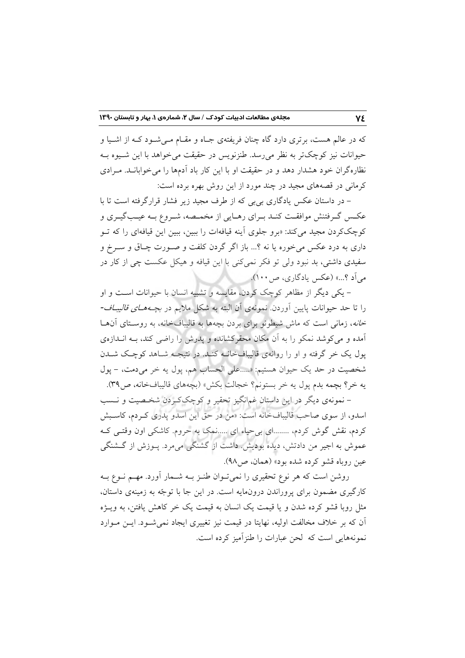که در عالم هست، برتری دارد گاه چنان فریفتهی جـاه و مقـام مـی شـود کـه از اشـیا و حیوانات نیز کوچکتر به نظر می رسد. طنزنویس در حقیقت می خواهد با این شـیوه بـه نظارهگران خود هشدار دهد و در حقیقت او با این کار باد اَدمها را می خوابانــد. مــرادی کرمانی در قصههای مجید در چند مورد از این روش بهره برده است:

– در داستان عکس یادگاری بی بی که از طرف مجید زیر فشار قرارگرفته است تا با عکس گـرفتنش موافقـت کنـد بـرای رهـایی از مخمـصه، شـروع بـه عیـبگیـری و کوچککردن مجید میکند: «برو جلوی اَینه قیافهات را ببین، ببین این قیافهای را که تــو داري به درد عکس مي خوره يا نه ؟... باز اگر گردن کلفت و صـورت چـاق و سـرخ و سفیدی داشتی، بد نبود ولی تو فکر نمی کنی با این قیافه و هیکل عکست چی از کار در مي آد ؟...» (عكس يادگاري، ص١٠٠).

– یکی دیگر از مظاهر کوچک کردن، مقایسه و تشبیه انسان با حیوانات است و او را تا حد حیوانات پایین آوردن. نمونهی آن البته به شکل ملایم در *بچـههـای قالیبـاف-خانه*، زمانی است که ماش شیطونو برای بردن بچهها به قالیبافخانه، به روسـتای آنهــا آمده و می کوشد نمکو را به آن مکان محقرکشانده و یدرش را راضی کند، بـه انــدازهی یول یک خر گرفته و او را روانهی قالیبافخانــه کنــد. در نتیجــه شــاهد کوچـک شــدن شخصیت در حد یک حیوان هستیم: «.....علی الحساب هم، پول یه خر میدمت، - پول يه خر؟ بچمه بدم پول يه خر بستونم؟ خجالت بكش» (بچههاى قاليبافخانه، ص٣٩).

– نمونهی دیگر در این داستان غمانگیز تحقیر و کوچککردن شخـصیت و نـسب اسدو، از سوی صاحب قالیبافخانه است: «من در حق این اسدو پدری کردم، کاسبش کردم، نقش گوش کردم، ........ای بی حیاء ای .....نمک به حروم. کاشکی اون وقتـی کـه عموش به اجیر من دادتش، دیده بودیش داشت از گشنگی میمرد. پــوزش از گــشنگی عین روباه قشو کرده شده بود» (همان، ص۹۸).

روشن است که هر نوع تحقیری را نمی تـوان طنـز بــه شــمار أورد. مهــم نــوع بــه کارگیری مضمون برای پروراندن درونهایه است. در این جا با توجّه به زمینهی داستان، مثل روبا قشو کرده شدن و یا قیمت یک انسان به قیمت یک خر کاهش یافتن، به ویــژه آن که بر خلاف مخالفت اولیه، نهایتا در قیمت نیز تغییری ایجاد نمی شـود. ایــن مــوارد نمونههایی است که لحن عبارات را طنز آمیز کرده است.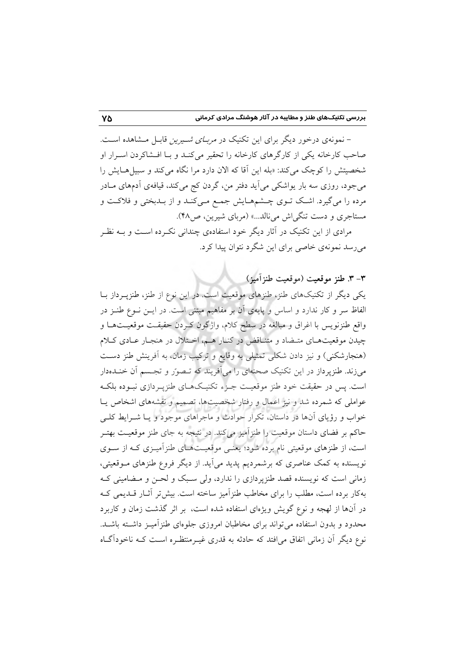– نمونهی درخور دیگر برای این تکنیک در *مربـای شـیرین* قابـل مـشاهده اسـت. صاحب کارخانه یکی از کارگرهای کارخانه را تحقیر میکنـد و بـا افـشاکردن اسـرار او شخصیتش را کوچک می کند: «بله این آقا که الان دارد مرا نگاه می کند و سبیل هـایش را می جود، روزی سه بار یواشکی می اَید دفتر من، گردن کج میکند، قیافهی اَدمهای مـادر مرده را می گیرد. اشک تـوی چـشمهـایش جمـع مـیکنـد و از بـدبختی و فلاکـت و مستاجري و دست تنگي اش مي نالد...» (مرباي شيرين، ص٩٨).

مرادی از این تکنیک در آثار دیگر خود استفادهی چندانی نک رده است و بــه نظـر مي رسد نمونهي خاصي براي اين شگرد نتوان پيدا کرد.

٣-٣. طنز موقعت (موقعت طنزآميز)

یکی دیگر از تکنیکهای طنز، طنزهای موقعیت است. در این نوع از طنز، طنزپـرداز بـا الفاظ سر و کار ندارد و اساس و پایهی آن بر مفاهیم مبتنی است. در ایــن نــوع طنــز در واقع طنزنويس با اغراق و مبالغه در سطح كلام، واژگون كـردن حقيقـت موقعيـتهـا و چیدن موقعیتهای متـضاد و متنـاقض در کنـار هـم، اخـتلال در هنجـار عـادی کــلام (هنجارشکنی) و نیز دادن شکلی تمثیلی به وقایع و ترکیب زمان، به آفرینش طنز دست میزند. طنزپرداز در این تکنیک صحنهای را میآفریند که تـصور و تجـسم آن خنـدهدار است. پس در حقیقت خود طنز موقعیـت جـزء تکنیـکهـای طنزپـردازی نبـوده بلکـه عواملی که شمرده شد و نیز اعمال و رفتار شخصیتها، تصمیم و نقشههای اشخاص یـا خواب و رؤیای آنها در داستان، تکرار حوادث و ماجراهای موجود و یــا شــرایط کلــی حاکم بر فضای داستان موقعیت را طنزآمیز میکند. در نتیجه به جای طنز موقعیـت بهتـر است، از طنزهای موقعیتی نام برده شود؛ یعنـی موقعیـتهـای طنزآمیـزی کـه از ســوی .<br>نویسنده به کمک عناصری که برشمردیم پدید میآید. از دیگر فروع طنزهای مـوقعیتی، زمانی است که نویسنده قصد طنزپردازی را ندارد، ولی سبک و لحـن و مـضامینی کـه بهکار برده است، مطلب را برای مخاطب طنزآمیز ساخته است. بیش تر آثـار قــدیمی کــه در آنها از لهجه و نوع گویش ویژهای استفاده شده است، بر اثر گذشت زمان و کاربرد محدود و بدون استفاده می تواند برای مخاطبان امروزی جلوهای طنزآمیـز داشـته باشـد. نوع دیگر آن زمانی اتفاق می|فتد که حادثه به قدری غیـرمنتظـره اسـت کــه ناخودآگــاه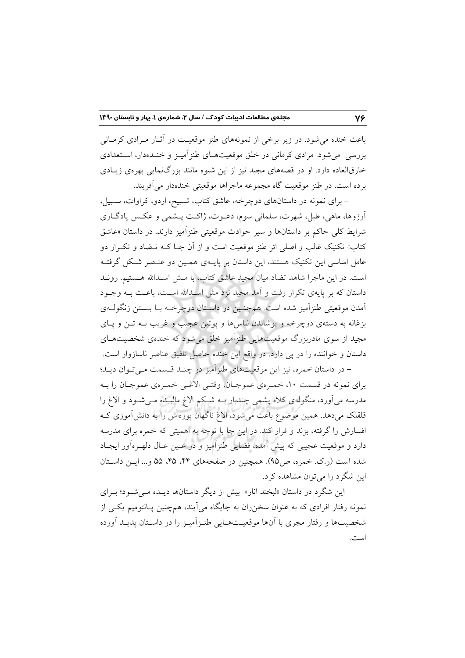باعث خنده می شود. در زیر برخی از نمونههای طنز موقعیت در آثـار مـرادی کرمـانی بررسی میشود. مرادی کرمانی در خلق موقعیتهـای طنزآمیـز و خنـدهدار، اسـتعدادی خارقالعاده دارد. او در قصههای مجید نیز از این شیوه مانند بزرگنمایی بهرهی زیبادی بر ده است. در طنز موقعیت گاه مجموعه ماجراها موقعیتی خندهدار می آفریند.

- برای نمونه در داستانهای دوچرخه، عاشق کتاب، تسبیح، اردو، کراوات، سـبیل، آرزوها، ماهی، طبل، شهرت، سلمانی سوم، دعـوت، ژاکـت پــشمی و عکـس یادگــاری شرايط كلي حاكم بر داستانها و سير حوادث موقعيتي طنزاّميز دارند. در داستان «عاشق کتاب» تکنیک غالب و اصلی اثر طنز موقعیت است و از اّن جـا کـه تــضاد و تکــرار دو عامل اساسی این تکنیک هستند، این داستان بر پایــهی همـین دو عنـصر شـکل گرفتــه است. در این ماجرا شاهد تضاد میان مجید عاشق کتاب، با مــش اســدالله هــستیم. رونــد داستان که بر پایهی تکرار رفت و آمد مجید نزد مش اسـدالله اسـت، باعـث بــه وجــود آمدن موقعیتی طنزآمیز شده است. همچنـین در داسـتان دوچرخــه بــا بــستن زنگولــهی بزغاله به دستهی دوچرخه و پوشاندن لباسها و پوتین عجیب و غریب بــه تــن و پــای مجید از سوی مادربزرگ موقعیتهایی طنزاَمیز خلق میشود که خندهی شخصیتهـای داستان و خواننده را در پی دارد. در واقع این خنده حاصل تلفیق عناصر ناسازوار است. - در داستان خمره، نیز این موقعیتهای طنزآمیز در چنـد قـسمت مـیتوان دیـد؛

براي نمونه در قسمت ۱۰، خمـرهي عموجـان، وقتـي الأغـي خمـرهي عموجـان را بــه مدرسه می آورد، منگولهی کلاه پشمی چندبار بـه شبکم الاغ مالیـده مـی شـود و الاغ را قلقلک میدهد. همین موضوع باعث میشود، الاغ ناگهان پوزهاش را به دانشآموزی ک افسارش را گرفته، بزند و فرار کند. در این جا با توجه به اهمیتی که خمره برای مدرسه دارد و موقعیت عجیبی که پیش آمده، فضایی طنزآمیز و در عـین عـال دلهـرهآور ایجـاد شده است (ر.ک. خمره، ص۵۵). همچنین در صفحههای ۴۴، ۴۵، ۵۵ و… ایــن داســتان این شگرد را می توان مشاهده کرد.

- این شگرد در داستان «لبخند انار» بیش از دیگر داستانها دیـده مـیشـود؛ بـرای نمونه رفتار افرادی که به عنوان سخن٫ران به جایگاه میآیند، همچنین پـانتومیم یکــی از شخصیتها و رفتار مجری با آنها موقعیتهایی طنـزآمیـز را در داسـتان پدیـد آورده است.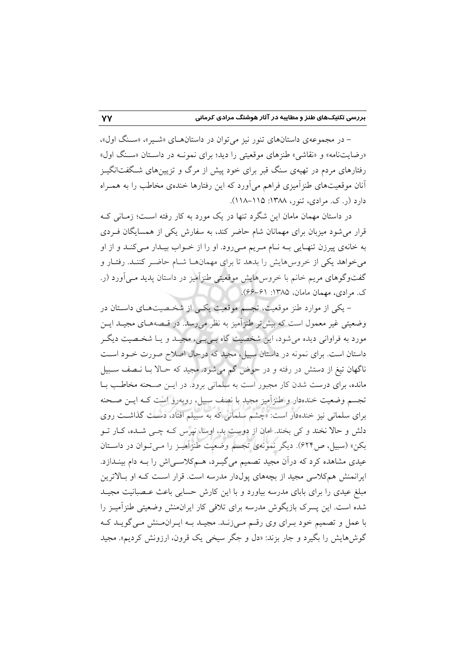- در مجموعهی داستانهای تنور نیز می توان در داستانهای «شمیر»، «سبنگ اول»، «رضایتنامه» و «نقاشی» طنزهای موقعیتی را دید؛ برای نمونـه در داسـتان «سـنگ اول» رفتارهای مردم در تهیهی سنگ قبر برای خود پیش از مرگ و تزیینهای شـگفتانگیـز آنان موقعیتهای طنزآمیزی فراهم می آورد که این رفتارها خندهی مخاطب را به همـراه دارد (ر. ک. مرادی، تنور، ۱۳۸۸: ۱۱۵–۱۱۸).

در داستان مهمان مامان این شگرد تنها در یک مورد به کار رفته است؛ زمـانی کـه قرار می شود میزبان برای مهمانان شام حاضر کند، به سفارش یکی از همسایگان فـردی به خانهی پیرزن تنهـایی بــه نــام مــریم مــیرود. او را از خــواب بیــدار مــیکنــد و از او می خواهد یکی از خروس هایش را بدهد تا برای مهمانهـا شـام حاضـر کننـد. رفتـار و گفتوگوهای مریم خانم با خروس هایش موقعیتی طنزآمیز در داستان پدید مـیآورد (ر. ک. مرادی، مهمان مامان، ۱۳۸۵: ۶۱–۶۶).

– یکی از موارد طنز موقعیت، تجسم موقعیت یکسی از شخصیتهای داستان در وضعیتی غیر معمول است که بیش تر طنزآمیز به نظر می رسد. در قـصههـای مجیـد ایــن مورد به فراواني ديده مي شود، اين شخصيت گاه بـي بـي، مجيــد و يــا شخـصيت ديگــر داستان است. برای نمونه در داستان سبیل، مجید که درحال اصلاح صورت خـود اسـت ناگهان تیغ از دستش در رفته و در حوض گم میشود. مجید که حـالا بــا نــصف ســبیل مانده، برای درست شدن کار مجبور است به سلمانی برود. در ایــن صـحنه مخاطـب بــا تجسم وضعیت خندهدار و طنزآمیز مجید با نصف سبیل، روبهرو است کـه ایــن صـحنه برای سلمانی نیز خندهدار است: «چشم سلمانی که به سبیلم افتاد، دست گذاشت روی دلش و حالا نخند و کی بخند. امان از دوست بد، اوسا، نیرس کـه چـی شـده، کـار تــو بکن» (سبیل، ص۶۲۴). دیگر نمونهی تجسم وضعیت طنزآمیـز را مـیتـوان در داسـتان عیدی مشاهده کرد که درآن مجید تصمیم میگیـرد، هــمکلاســیاش را بــه دام بینــدازد. ایرانمنش همکلاسی مجید از بچههای پولدار مدرسه است. قرار اسـت کـه او بـالاترین مبلغ عیدی را برای بابای مدرسه بیاورد و با این کارش حسابی باعث عـصبانیت مجیــد شده است. این پسرک بازیگوش مدرسه برای تلافی کار ایرانمنش وضعیتی طنزآمیـز را با عمل و تصمیم خود بـرای وی رقــم مـی;زنــد. مجیــد بــه ایــران.مـنش مـی گویــد کــه گوش۵هایش را بگیرد و جار بزند: «دل و جگر سیخی یک قرون، ارزونش کردیم». مجید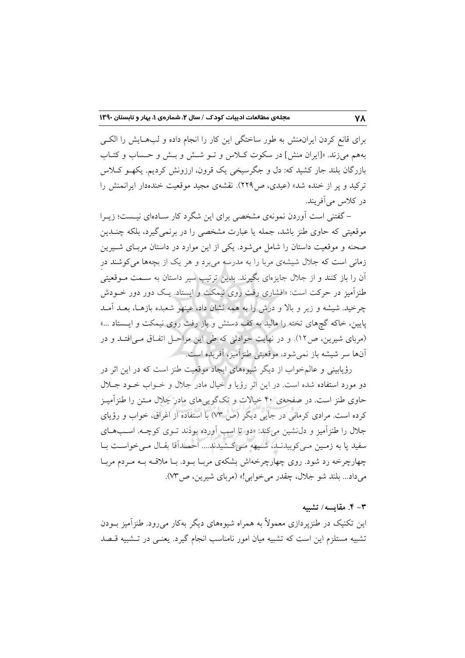برای قانع کردن ایران.نش به طور ساختگی این کار را انجام داده و لبهایش را الکبی بههم میزند. «[ایران منش] در سکوت کلاس و تـو شـش و بـش و حـساب و کتـاب بازرگان بلند جار کشید که: دل و جگرسیخی یک قرون، ارزونش کردیم. یکهـو کـلاس ترکید و پر از خنده شد» (عیدی، ص۲۲۹). نقشهی مجید موقعیت خندهدار ایرانمنش را در کلاس می آفریند.

– گفتنی است آوردن نمونهی مشخصی برای این شگرد کار سـادهای نیـست؛ زیــرا موقعیتی که حاوی طنز باشد، جمله یا عبارت مشخصی را در برنمی گیرد، بلکه چنــدین صحنه و موقعیت داستان را شامل میشود. یکی از این موارد در داستان مربـای شــیرین زمانی است که جلال شیشهی مربا را به مدرسه می برد و هر یک از بچهها می کوشند در آن را باز کنند و از جلال جایزهای بگیرند. بدین ترتیب سیر داستان به ســمت مــوقعیتی طنزآمیز در حرکت است: «افشاری رفت روی نیمکت و ایستاد. یک دور دور خـودش چرخید. شیشه و زیر و بالا و درش را به همه نشان داد، عینهو شعبده بازهـا، بعـد آمـد پایین، خاکه گچهای تخته را مالید به کف دستش و باز رفت روی نیمکت و ایـستاد ...» (مربای شیرین، ص۱۲). و در نهایت حوادثی که طی این مراحـل اتفـاق مـی|فتـد و در آنها سر شيشه باز نمي شود، موقعيتي طنزاًميز، اَفريده است.

رؤیابینی و عالم خواب از دیگر شیوههای ایجاد موقعیت طنز است که در این اثر در دو مورد استفاده شده است. در این اثر رؤیا و خیال مادر جلال و خـواب خـود جـلال حاوي طنز است. در صفحهي ۴۰ خيالات و تکگويي هاي مادر جلال مــتن را طنزآميــز کرده است. مرادی کرمانی در جایی دیگر (ص ۷۳) با استفاده از آغراق، خواب و رؤیای جلال را طنزآمیز و دل:شین می کند: «دو تا اسب آورده بودند تـوی کوچـه. اسـبهـای سفید پا به زمین مـیکوبیدنـد، شـیهه مـیکشیدند.... احمـداَقا بقـال مـیخواسـت بـا چهارچرخه رد شود. روی چهارچرخهاش بشکهی مربـا بـود. بـا ملاقـه بــه مـردم مربـا مي داد... بلند شو جلال، چقدر مي خوابي!» (مرباي شيرين، ص٣٧).

#### ۳– ۴. مقايسه/ تشبيه

این تکنیک در طنزپردازی معمولاً به همراه شیوههای دیگر بهکار می رود. طنزآمیز بودن تشبیه مستلزم این است که تشبیه میان امور نامناسب انجام گیرد. یعنـی در تـشبیه قـصد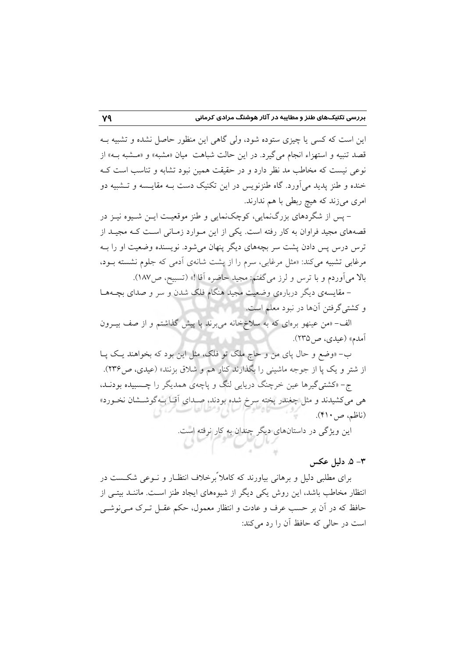این است که کسی یا چیزی ستوده شود، ولی گاهی این منظور حاصل نشده و تشبیه بـه قصد تنبیه و استهزاء انجام میگیرد. در این حالت شباهت میان «مشبه» و «مـشبه بــه» از نوعی نیست که مخاطب مد نظر دارد و در حقیقت همین نبود تشابه و تناسب است ک خنده و طنز يديد مي آورد. گاه طنزنويس در اين تكنيک دست بــه مقايــسه و تــشبيه دو امری میزند که هیچ ربطی با هم ندارند.

– پس از شگردهای بزرگنمایی، کوچکنمایی و طنز موقعیت ایــن شــیوه نیــز در قصههای مجید فراوان به کار رفته است. یکی از این مـوارد زمـانی اسـت کـه مجیـد از ترس درس پس دادن پشت سر بچههای دیگر پنهان می شود. نویسنده وضعیت او را بــه مرغابی تشبیه می کند: «مثل مرغابی، سرم را از پشت شانهی آدمی که جلوم نشسته بود، بالا میآوردم و با ترس و لرز میگفتم: مجید حاضره آقا !» (تسبیح، ص١٨٧).

– مقایسهی دیگر دربارهی وضعیت مجید هنگام فلک شدن و سر و صدای بچـههـا و کشتیگرفتن آنها در نبود معلم است.

الف- «من عینهو برهای که به سلاخ خانه می برند یا پیش گذاشتم و از صف بیــرون آمدم» (عيدي، ص1۳۵).

ب– «وضع و حال پای من و حاج ملک تو فلک، مثل این بود که بخواهند یک پـا از شتر و یک پا از جوجه ماشینی را بگذارند کنار هم و شلاق بزنند» (عیدی، ص۱۳۶). ج- «کشتی گیرها عین خرچنگ دریایی لنگ و پاچهی همدیگر را چـسبیده بودنـد، هی میکشیدند و مثل چغندر پخته سرخ شده بودند، صـدای آقـا بــهگوشــشان نخــورد» (ناظم، ص۱۰).

این ویژگی در داستانهای دیگر چندان به کار نرفته است.

## ٣– ۵. دليل عکس

برای مطلبی دلیل و برهانی بیاورند که کاملاً برخلاف انتظـار و نــوعی شکــست در انتظار مخاطب باشد، این روش یکی دیگر از شیوههای ایجاد طنز است. ماننـد بیتـی از حافظ که در آن بر حسب عرف و عادت و انتظار معمول، حکم عقــل تــرک مــی'نوشــی است در حالی که حافظ آن را رد می کند: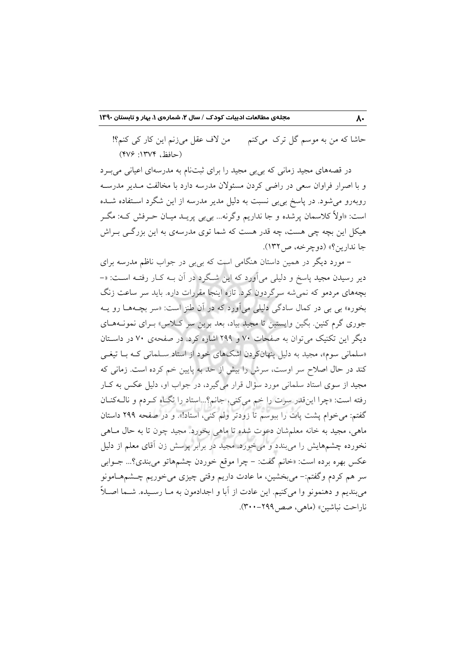حاشا که من به موسم گل ترک میکنم من لاف عقل میزنم این کار کی کنم؟! (حافظ، ١٣٧٤: ٢٧۶)

در قصههای مجید زمانی که بیبی مجید را برای ثبتنام به مدرسهای اعیانی میبرد و با اصرار فراوان سعی در راضی کردن مسئولان مدرسه دارد با مخالفت مـدير مدرسـه روبهرو میشود. در پاسخ بی بی نسبت به دلیل مدیر مدرسه از این شگرد استفاده شــده است: «اولاً کلاسمان پرشده و جا نداریم وگرنه... بی بی پرید میـان حـرفش کــه: مگــر هیکل این بچه چی هست، چه قدر هست که شما توی مدرسهی به این بزرگے ٍ بـ اش جا ندارين؟» (دوچرخه، ص ١٣٢).

– مورد دیگر در همین داستان هنگامی است که بی بی در جواب ناظم مدرسه برای دیر رسیدن مجید پاسخ و دلیلی میآورد که این شـگرد در آن بــه کــار رفتــه اســت: «– بچههای مردمو که نمیشه سرگردون کرد. تازه اینجا مقررات داره. باید سر ساعت زنگ بخوره» بي بي در كمال سادگي دليلي مي آورد كه در آن طنز است: «سر بچـههــا رو پــه جوری گرم کنین<sub>.</sub> بگین وایستین تا مجید بیاد، بعد برین سر کـلاس» بـرای نمونــههــای دیگر این تکنیک می توان به صفحات ۷۰ و ۲۹۹ اشاره کرد. در صفحهی ۷۰ در داستان «سلمانی سوم»، مجید به دلیل پنهانکردن اشکهای خود از استاد سـلمانی کـه بـا تیغـی کند در حال اصلاح سر اوست، سرش را بیش از حد به پایین خم کرده است. زمانی که مجید از سوی استاد سلمانی مورد سؤال قرار میگیرد، در جواب او، دلیل عکس به کبار رفته است: «چرا اینقدر سرت را خم می کنی، جانم؟...استاد را نگاه کردم و نالبه کنان گفتم: می خوام پشت پات را ببوسم تا زودتر ولم کنی، استاد!». و در صفحه ۲۹۹ داستان ماهي، مجيد به خانه معلمشان دعوت شده تا ماهي بخورد. مجيد چون تا به حال مـاهي نخورده چشمهایش را میبندد و می خورد. مجید در برابر پرسش زن آقای معلم از دلیل عکس بهره برده است: «خانم گفت: – چرا موقع خوردن چشمهاتو میبندی؟... جــوابی سر هم کردم وگفتم:– میبخشین، ما عادت داریم وقتی چیزی میخوریم چـشمهـامونو مي بنديم و دهنمونو وا مي كنيم. اين عادت از آبا و اجدادمون به مـا رسـيده. شــما اصــلاً ناراحت نباشين» (ماهي، صص ٢٩٩-٣٠٠).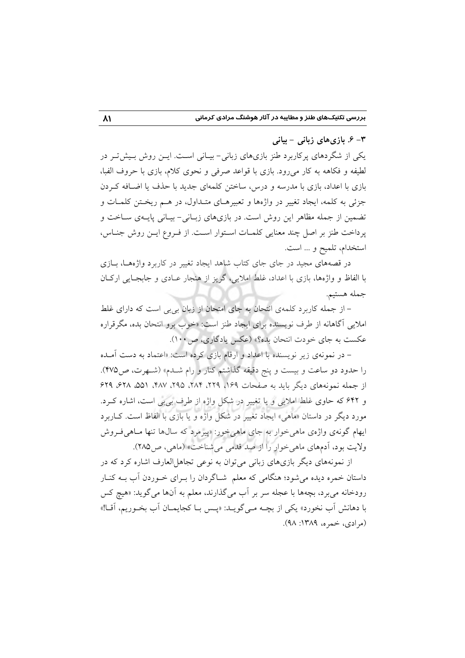۳- ۶. بازی های زبانی - بیانی

یکی از شگردهای پرکاربرد طنز بازیهای زبانی-بیـانی اسـت. ایــن روش بـیش تـر در لطيفه و فكاهه به كار مى رود. بازى با قواعد صرفى و نحوى كلام، بازى با حروف الفبا، بازی با اعداد، بازی با مدرسه و درس، ساختن کلمهای جدید با حذف یا اضـافه کـردن جزئی به کلمه، ایجاد تغییر در واژهها و تعبیرهـای متـداول، در هـم ریخـتن کلمـات و تضمین از جمله مظاهر این روش است. در بازیهای زبـانی- بیـانی پایـهی سـاخت و پرداخت طنز بر اصل چند معنایی کلمـات اسـتوار اسـت. از فـروع ايـن روش جنـاس، استخدام، تلميح و ... است.

در قصههای مجید در جای جای کتاب شاهد ایجاد تغییر در کاربرد واژههـا، بــازی با الفاظ و واژهها، بازی با اعداد، غلط املایی، گریز از هنجار عبادی و جابجبایی ارکبان جمله هستيم.

– از جمله کاربرد کلمهی انتحان به جای امتحان از زبان بی بی است که دارای غلط املایی آگاهانه از طرف نویسنده برای ایجاد طنز است: «خوب برو انتحان بده، مگرقراره عکست به جای خودت انتحان بده؟» (عکس یادگاری، ص ۱۰۰).

– در نمونهی زیر نویسنده با اعداد و ارقام بازی کرده است: «اعتماد به دست آمـده را حدود دو ساعت و بیست و پنج دقیقه گذاشتم کنار و رام شـدم» (شـهرت، ص۴۷۵). از جمله نمونههای دیگر باید به صفحات ۱۶۹، ۲۲۹، ۲۸۴، ۲۹۵، ۴۸۷، ۵۵۱، ۶۲۸، ۶۲۹ و ۶۴۲ که حاوی غلط املایی و یا تغییر در شکل واژه از طرف بی پی است، اشاره کـرد. مورد دیگر در داستان «ماهی» ایجاد تغییر در شکل واژه و یا بازی با الفاظ است. کــاربرد ایهام گونهی واژهی ماهی خوار به جای ماهی خور: «پیرمرد که سالها تنها مـاهی فـروش ولايت بود، آدمهاي ماهي خوار را از صد قدمي مي شناخت» (ماهي، ص1۸۵).

از نمونههای دیگر بازیهای زبانی میتوان به نوعی تجاهل العارف اشاره کرد که در داستان خمره دیده می شود؛ هنگامی که معلم ً شـاگردان را بـرای خـوردن آب بــه کنــار رودخانه مي برد، بچهها با عجله سر بر أب مي گذارند، معلم به أنها مي گويد: «هيچ كس با دهانش آب نخورد» یکی از بچـه مـی&ویـد: «پـس بـا کجایمـان آب بخـوریم، آقـا!» (مرادي، خمره، ١٣٨٩: ٩٨).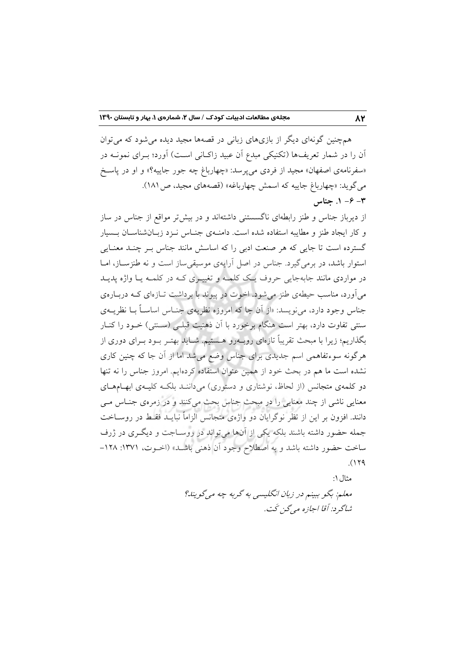همچنین گونهای دیگر از بازیهای زبانی در قصهها مجید دیده می شود که می توان آن را در شمار تعریفها (تکنیکی مبدع آن عبید زاکـانی اسـت) آورد؛ بـرای نمونــه در «سفرنامهی اصفهان» مجید از فردی میپرسد: «چهارباغ چه جور جاییه؟» و او در پاسخ می گوید: «چهارباغ جاییه که اسمش چهارباغه» (قصههای مجید، ص ۱۸۱). - ۶ - ۱. جناس

از دیرباز جناس و طنز رابطهای ناگسستنی داشتهاند و در بیش تر مواقع از جناس در ساز و کار ایجاد طنز و مطایبه استفاده شده است. دامنـهی جنـاس نـزد زبـانشناسـان بـسیار گسترده است تا جایی که هر صنعت ادبی را که اساسش مانند جناس بـر چنـد معنـایی استوار باشد، در برمی گیرد. جناس در اصل آرایهی موسیقی ساز است و نه طنزسـاز، امـا در مواردی مانند جابهجایی حروف یک کلمـه و تغییـری کـه در کلمـه یـا واژه پدیـد می آورد، مناسب حیطهی طنز می شود. اخوت در پیوند با برداشت تــازهای کــه دربــارهی جناس وجود دارد، می نویسد: «از آن جا که امروزه نظریهی جنـاس اساسـاً بــا نظریــهی سنتی تفاوت دارد، بهتر است هنگام برخورد با آن ذهنیت قبلـی (سـنتی) خــود را کنــار .<br>بگذاریم؛ زیرا با مبحث تقریباً تازهای روبــهرو هــستیم. شــاید بهتــر بــود بــرای دوری از هرگونه سوءتفاهمی اسم جدیدی برای جناس وضع می شد اما از آن جا که چنین کاری نشده است ما هم در بحث خود از همین عنوان استفاده کردهایم. امروز جناس را نه تنها دو کلمهی متجانس (از لحاظ، نوشتاری و دستوری) میدانند بلکه کلیـهی ابهـامهـای معنایی ناشی از چند معنایی را در مبحث جناس بحث میکنند و در زمرهی جنـاس مـی دانند. افزون بر این از نظر نوگرایان دو واژهی متجانس الزاماً نبایــد فقــط در روســاخت جمله حضور داشته باشند بلکه یکی از آنها میتواند در روسـاجت و دیگـری در ژرف ساخت حضور داشته باشد و به اصطلاح وجود أن ذهني باشـد» (اخــوت، ١٣٧١: ١٢٨- $(179$ 

> مثال ۱: معلم: بگو ببینم در زبان انگلیسی به گربه چه میگویند؟ شاگر د: آقا اجازه مه گزغت.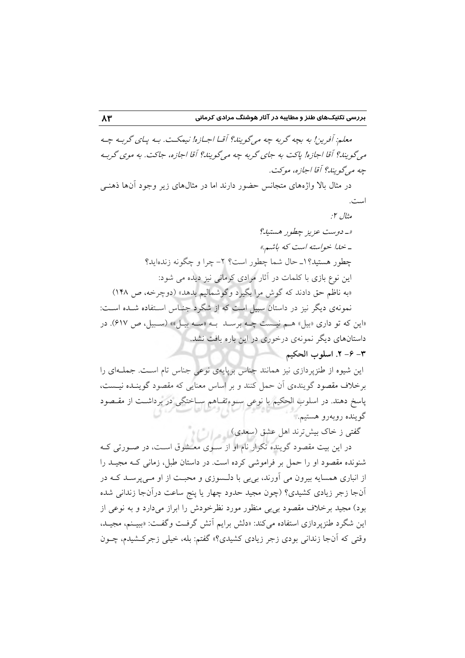معلم: آفرین! به بچه گربه چه میگویند؟ آقـا اجـازه! نیمکـت. بـه پـای گربـه چـه می گویند؟ آقا اجازه! پاکت به جای گربه چه می گویند؟ آقا اجازه، جاکت. به موی گربه چه می گویند؟ آقا اجازه، موکت.

در مثال بالا واژههای متجانس حضور دارند اما در مثالهای زیر وجود آنها ذهنبی است.

این شیوه از طنزپردازی نیز همانند جناس برپایهی نوعی جناس تام است. جملهای را برخلاف مقصود گویندهی آن حمل کنند و بر اساس معنایی که مقصود گوینـده نیـست، پاسخ دهند. در اسلوب الحکیم با نوعی سـوءتفـاهم سـاختگی در برداشـت از مقـصود گوينده روبهرو هستيم.

گفتی ز خاک بیش ترند اهل عشق (سعدی) است این این

در این بیت مقصود گوینده تکرار نام او از سـوی معـشوق اسـت، در صـورتی کـه شنونده مقصود او را حمل بر فراموشی کرده است. در داستان طبل، زمانی کـه مجیــد را از انباری همسایه بیرون می آورند، بیبی با دلـسوزی و محبـت از او مـیپرسـد کـه در آنجا زجر زیادی کشیدی؟ (چون مجید حدود چهار یا پنج ساعت درآنجا زندانی شده بود) مجید برخلاف مقصود بی بی منظور مورد نظرخودش را ابراز میدارد و به نوعی از این شگرد طنزپردازی استفاده می کند: «دلش برایم آتش گرفت وگفت: «ببیـنم، مجیـد، وقتی که آنجا زندانی بودی زجر زیادی کشیدی؟» گفتم: بله، خیلی زجرکشیدم، چـون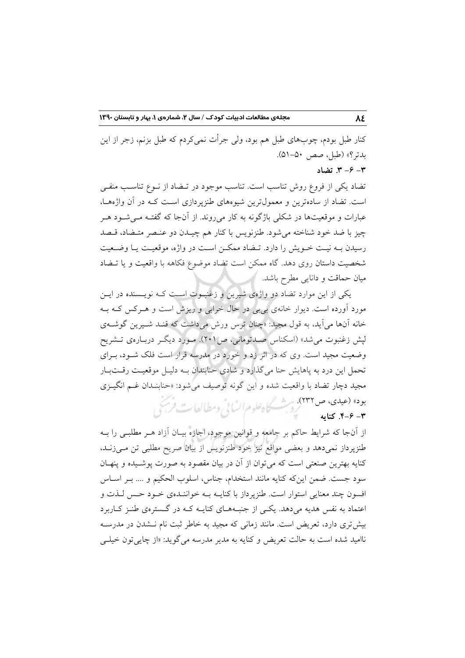کنار طبل بودم، چوبهای طبل هم بود، ولی جرأت نمی کردم که طبل بزنم، زجر از این بدتر؟» (طبل، صص ۵۰–۵۱).  $-9 - 7$  تضاد

تضاد یکی از فروع روش تناسب است. تناسب موجود در تـضاد از نــوع تناسـب منفــی است. تضاد از سادهترین و معمولترین شیوههای طنزپردازی است کـه در آن واژههـا، عبارات و موقعیتها در شکلی باژگونه به کار میروند. از آنجا که گفتـه مـیشـود هـر چیز با ضد خود شناخته میشود. طنزنویس با کنار هم چیــدن دو عنـصر متــضاد، قــصد رسیدن بـه نیـت خـویش را دارد. تـضاد ممكـن اسـت در واژه، موقعیـت یـا وضـعیت شخصیت داستان روی دهد. گاه ممکن است تضاد موضوع فکاهه با واقعیت و یا تـضاد میان حماقت و دانایی مطرح باشد.

یکی از این موارد تضاد دو واژهی شیرین و زغنبـوت اسـت کـه نویـسنده در ایــن مورد آورده است. دیوار خانهی بی بی در حال خرابی و ریزش است و هـرکس کـه بـه خانه آنها می آید، به قول مجید: «چنان ترس ورش می داشت که قنـد شـیرین گوشــهی لیش زغنبوت می شد» (اسکناس صـدتومانی، ص۱۰۲). مـورد دیگـر دربـارهی تــشریح وضعیت مجید است. وی که در اثر زد و خورد در مدرسه قرار است فلک شـود، بـرای تحمل این درد به پاهایش حنا میگذارد و شادی حنابندان بــه دلیــل موقعیــت رقــت بــار مجيد دچار تضاد با واقعيت شده و اين گونه توصيف مي شود: «حنابنــدان غــم انگيــزي بود» (عیدی، ص ۲۳۲) دست کاه علوم انسانی ومطالعات فریجی

#### $-9 - -7$ . كنايه

از آنجا که شرایط حاکم بر جامعه و قوانین موجود، اجازه بیـان آزاد هــر مطلبــی را بــه طنزیرداز نمی،دهد و بعضی مواقع نیز خود طنزنویس از بیان صریح مطلبی تن مے،زنـد، کنایه بهترین صنعتی است که می توان از آن در بیان مقصود به صورت پوشـیده و پنهـان سود جست. ضمن اینکه کنایه مانند استخدام، جناس، اسلوب الحکیم و …. بـر اسـاس افسون چند معنایی استوار است. طنزپرداز با کنایــه بــه خواننــدهی خــود حــس لــذت و اعتماد به نفس هدیه می دهد. یکمی از جنبههای کنایــه کــه در گــسترهی طنــز کــاربرد بیش تری دارد، تعریض است. مانند زمانی که مجید به خاطر ثبت نام نـشدن در مدرسـه ناامید شده است به حالت تعریض و کنایه به مدیر مدرسه می گوید: «از چایی تون خیلبی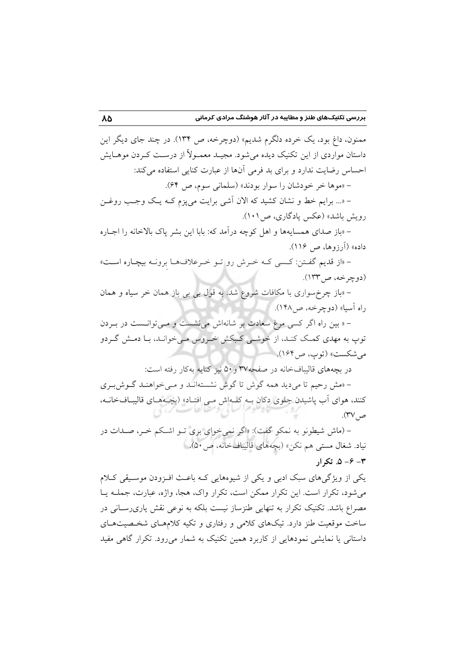ممنون، داغ بود، یک خرده دلگرم شدیم» (دوچرخه، ص ۱۳۴). در چند جای دیگر این داستان مواردی از این تکنیک دیده میشود. مجیـد معمـولاً از درسـت کـردن موهـایش احساس رضایت ندارد و برای بد فرمی آنها از عبارت کنایی استفاده میکند: - «موها خر خودشان را سوار بودند» (سلمانی سوم، ص ۶۴).

- «... برایم خط و نشان کشید که الان آشی برایت می یزم کـه یـک وجـب روغـن رویش باشد» (عکس یادگاری، ص۱۰۱).

– «باز صدای همسایهها و اهل کوچه درآمد که: بابا این بشر یاک بالاخانه را اجباره داده» (آرزوها، ص ۱۱۶).

- «از قديم گفتن: كسى كـه خـرش رو تـو خـرعلافهـا برونـه بيچـاره اسـت» (دوچرخه، ص۱۳۳).

– «باز چرخ سواری با مکافات شروع شد. به قول بی بی باز همان خر سیاه و همان راه آسيا» (دوچرخه، ص١۴٨).

- « بین راه اگر کسی مرغ سعادت بر شانهاش می نشست و مـی توانـست در بـردن توپ به مهدی کمک کنـد، از خوشـی کـبکش خـروس مـی خوانـد، بـا دمـش گـردو مي شكست» (توپ، ص1۶۴).

در بچههای قالیبافخانه در صفحه۳۷ و ۵۰ نیز کنایه بهکار رفته است:

- «مش رحیم تا میدید همه گوش تا گوش نشستهاند و می خواهند گوش بری کنند، هوای آب پاشیدن جلوی دکان بـه کلـهاش مـی افتـاد» (بچـههـای قالیبـافخانـه، ص ۴۷).

- (ماش شیطونو به نمکو گفت): «اگر نمی خوای بری تـو اشـکم خـر، صـدات در نياد. شغال مست<sub>ى</sub> هم نكن» (بچەهاى قاليبافخانە، ص٥٠).  $\sim -2 - 2$ . تکرار

یکی از ویژگیهای سبک ادبی و یکی از شیوههایی کـه باعـث افـزودن موسـیقی کـلام می شود، تکرار است. این تکرار ممکن است، تکرار واک، هجا، واژه، عبارت، جملـه یـا مصراع باشد. تکنیک تکرار به تنهایی طنزساز نیست بلکه به نوعی نقش یاریرسـانی در ساخت موقعیت طنز دارد. تیکهای کلامی و رفتاری و تکیه کلامهـای شخـصیتهـای داستانی یا نمایشی نمودهایی از کاربرد همین تکنیک به شمار می رود. تکرار گاهی مفید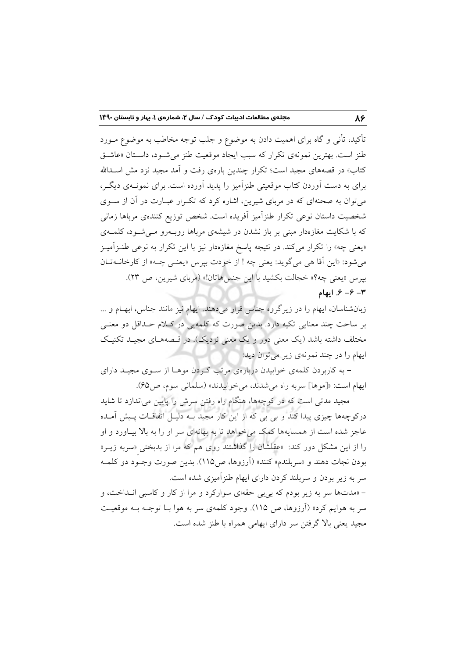تأکید، تأن<sub>ی</sub> و گاه برای اهمیت دادن به موضوع و جلب توجه مخاطب به موضوع مــورد طنز است. بهترین نمونهی تکرار که سبب ایجاد موقعیت طنز می شـود، داسـتان «عاشـق کتاب» در قصههای مجید است؛ تکرار چندین بارهی رفت و آمد مجید نزد مش اسـدالله برای به دست آوردن کتاب موقعیتی طنزآمیز را پدید آورده است. برای نمونــهی دیگــر، می توان به صحنهای که در مربای شیرین، اشاره کرد که تکرار عبـارت در آن از سـوی شخصیت داستان نوعی تکرار طنزآمیز آفریده است. شخص توزیع کنندهی مرباها زمانی که با شکایت مغازهدار مبنی بر باز نشدن در شیشهی مرباها روبـهرو مــی شــود، کلمــهی «یعنی چه» را تکرار میکند. در نتیجه پاسخ مغازهدار نیز با این تکرار به نوعی طنـزآمیـز مي شود: «اين آقا هي مي گويد: يعني چه ! از خودت بيرس «يعنـي چـه» از كارخانــه تــان بیرس «یعنی چه؟» خجالت بکشید با این جنس هاتان!» (مربای شیرین، ص ٢٣).  $-9 - 3$  ایهام

زبانشناسان، ایهام را در زیرگروه جناس قرار میدهند. ایهام نیز مانند جناس، ابهـام و ... بر ساحت چند معنایی تکیه دارد. بدین صورت که کلمهیی در کلام حـداقل دو معنـی مختلف داشته باشد (یک معنی دور و یک معنی نزدیک). در قـصههــای مجیــد تکنیــک ايهام را در چند نمونهي زير مي توان ديد:

– به کاربردن کلمهی خوابیدن دربارهی مرتب کردن موهـا از سـوی مجیـد دارای ايهام است: «[موها] سربه راه مي شدند، مي خوابيدند» (سلماني سوم، ص40).

مجید مدتی است که در کوچهها، هنگام راه رفتن سرش را پایین میاندازد تا شاید درکوچهها چیزی پیدا کند و بی بی که از این کار مجید بــه دلیــل اتفاقــات پــیش آمــده عاجز شده است از همسایهها کمک می خواهد تا به بهانهای سر او را به بالا بیـاورد و او را از این مشکل دور کند: «عقلشان را گذاشتند روی هم که مرا از بدبختی «سربه زیــر» بودن نجات دهند و «سربلندم» كنند» (اَرزوها، ص١١٥). بدين صورت وجـود دو كلمـه سر به زیر بودن و سربلند کردن دارای ایهام طنزآمیزی شده است.

- «مدتها سر به زیر بودم که بی بی حقهای سوارکرد و مرا از کار و کاسبی انداخت، و سر به هوایم کرد» (اَرزوها، ص ۱۱۵). وجود کلمهی سر به هوا بــا توجــه بــه موقعیــت مجید یعنی بالا گرفتن سر دارای ایهامی همراه با طنز شده است.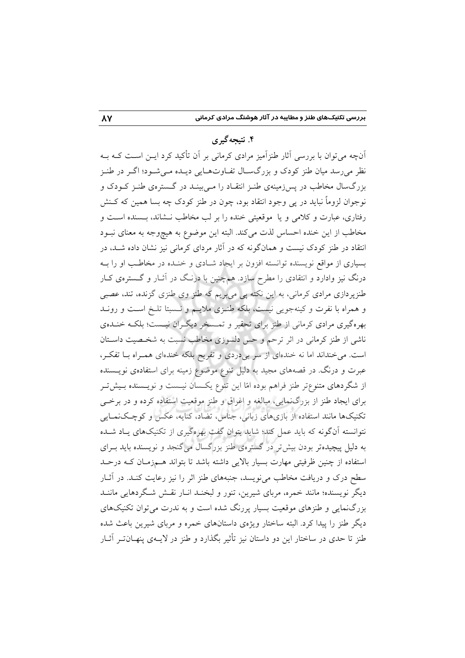#### ۴. نتىجەگىرى

آنچه می توان با بررسی آثار طنزآمیز مرادی کرمانی بر آن تأکید کرد ایــن اسـت کــه بــه نظر میرسد میان طنز کودک و بزرگسـال تفـاوتهـایی دیـده مـیشـود؛ اگـر در طنـز بزرگسال مخاطب در پس زمینهی طنـز انتقـاد را مـی بینـد در گـسترهی طنـز کـودک و نوجوان لزوماً نبايد در يې وجود انتقاد بود، چون در طنز کودک چه بسا همين که کـنش رفتاری، عبارت و کلامی و یا موقعیتی خنده را بر لب مخاطب نـشاند، بـسنده اسـت و مخاطب از این خنده احساس لذت میکند. البته این موضوع به هیچوجه به معنای نبـود انتقاد در طنز کودک نیست و همانگونه که در آثار مردای کرمانی نیز نشان داده شــد، در بسیاری از مواقع نویسنده توانسته افزون بر ایجاد شـادی و خنـده در مخاطـب او را بـه درنگ نیز وادارد و انتقادی را مطرح سازد. همچنین با درنگ در آثـار و گـسترهی کـار طنزپردازی مرادی کرمانی، به این نکته پی میبریم که طنز وی طنزی گزنده، تند، عصبی و همراه با نفرت و كينهجويي نيست، بلكه طنـزي ملايـم و نـسبتا تلـخ اسـت و رونـد بهرهگیری مرادی کرمانی از طنز برای تحقیر و تمـسخر دیگـران نیـست؛ بلکـه خنـدهی ناشی از طنز کرمانی در اثر ترحم و حس دلسوزی مخاطب نسبت به شخـصیت داسـتان است. میخنداند اما نه خندهای از سر بی دردی و تفریح بلکه خندهای همـراه بـا تفکـر، عبرت و درنگ. در قصههای مجید به دلیل تنوع موضوع زمینه برای استفادهی نویــسنده از شگردهای متنوعتر طنز فراهم بوده امّا این تنوع یکسان نیـست و نویـسنده بـیشتر برای ایجاد طنز از بزرگنمایی، مبالغه و اغراق و طنز موقعیت استفاده کرده و در برخمی تکنیکها مانند استفاده از بازیهای زبانی، جناس، تضاد، کنایه، عکس و کوچکنمـایی نتوانسته آنگونه که باید عمل کند؛ شاید بتوان گفت بهرهگیری از تکنیکهای پاد شـده به دلیل پیچیدهتر بودن بیش تر در گسترهی طنز بزرگسال میگنجد و نویسنده باید بـرای استفاده از چنین ظرفیتی مهارت بسیار بالایی داشته باشد تا بتواند هـمزمـان کـه درحـد سطح درک و دریافت مخاطب می نویسد، جنبههای طنز اثر را نیز رعایت کنـد. در آثــار دیگر نویسنده؛ مانند خمره، مربای شیرین، تنور و لبخنـد انــار نقــش شــگردهایی ماننــد بزرگنمایی و طنزهای موقعیت بسیار پررنگ شده است و به ندرت می توان تکنیکهای دیگر طنز را پیدا کرد. البته ساختار ویژهی داستانهای خمره و مربای شیرین باعث شده طنز تا حدی در ساختار این دو داستان نیز تأثیر بگذارد و طنز در لایــهی پنهــانتــر آثــار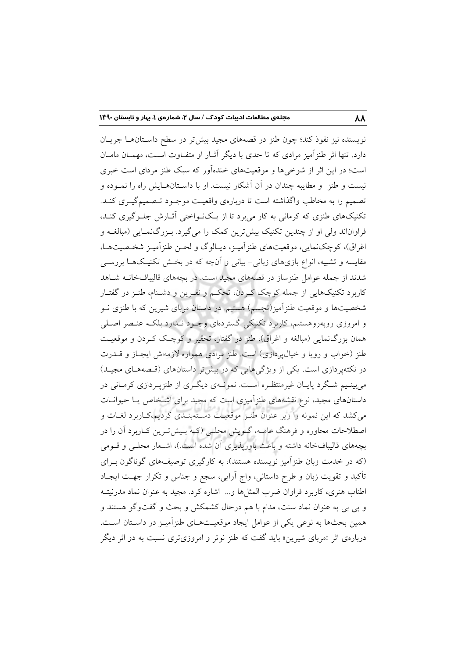نویسنده نیز نفوذ کند؛ چون طنز در قصههای مجید بیش تر در سطح داسـتانهـا جریـان دارد. تنها اثر طنزآمیز مرادی که تا حدی با دیگر آثـار او متفـاوت اسـت، مهمـان مامـان است؛ در این اثر از شوخیها و موقعیتهای خندهآور که سبک طنز مردای است خبری .<br>نیست و طنز و مطایبه چندان در آن آشکار نیست. او با داسـتانهــایش راه را نمــوده و تصمیم را به مخاطب واگذاشته است تا دربارهی واقعیت موجـود تـصمیمگیـری کنـد. تکنیکهای طنزی که کرمانی به کار می برد تا از یـکنـواختی آثـارش جلـوگیری کنـد، فراواناند ولي او از چندين تكنيک بيش ترين كمک را مي گيرد. بـزرگ(مـايي (مبالغــه و اغراق)، کوچکنمایی، موقعیتهای طنز آمیـز، دیـالوگ و لحـن طنز آمیـز شخـصیتهـا، مقایسه و تشبیه، انواع بازیهای زبانی- بیانی و آنچه که در بخـش تکنیـکهـا بررســی شدند از جمله عوامل طنزساز در قصههای مجید است. در بچههای قالیبافخانــه شــاهد کاربرد تکنیکهایی از جمله کوچک کـردن، تحکـم و نفـرین و دشـنام، طنـز در گفتـار شخصیتها و موقعیت طنزآمیز(تجسم) هستیم. در داستان مربای شیرین که با طنزی نــو و امروزی روبهروهستیم، کاربرد تکنیکی گستردهای وجـود نـدارد بلکـه عنـصر اصـلـی همان بزرگنمایی (مبالغه و اغراق)، طنز در گفتار، تحقیر و کوچک کـردن و موقعیـت طنز (خواب و رویا و خیال پردازی) است. طنز مرادی همواره لازمهاش ایجباز و قبدرت در نکتهپردازی است. یکی از ویژگیهایی که در بیش تر داستانهای (قسمهمای مجیـد) می بینـیم شـگرد پایـان غیرمنتظـره اسـت. نمونـهی دیگـری از طنزپـردازی کرمـانی در داستانهای مجید، نوع نقشههای طنزآمیزی است که مجید برای اشـخاص یـا حیوانــات می کشد که این نمونه را زیر عنوان طنـز موقعیت دسـتهبنـدی کردیم،کـاربرد لغـات و اصطلاحات محاوره و فرهنگ عامــه، گــویش محلــی (کــه بــیشتــرین کــاربرد آن را در بچههای قالیبافخانه داشته و باعث باورپذیری آن شده است.)، اشـعار محلـی و قـومی (که در خدمت زبان طنز آمیز نویسنده هستند)، به کارگیری توصیفهای گوناگون بـرای تأکید و تقویت زبان و طرح داستانی، واج آرایی، سجع و جناس و تکرار جهــت ایجــاد اطناب هنري، كاربرد فراوان ضرب المثلها و... اشاره كرد. مجيد به عنوان نماد مدرنيتـه و بی بی به عنوان نماد سنت، مدام با هم درحال کشمکش و بحث و گفتوگو هستند و همین بحثها به نوعی یکی از عوامل ایجاد موقعیـتهـای طنزآمیـز در داسـتان اسـت. دربارهی اثر «مربای شیرین» باید گفت که طنز نوتر و امروزیتری نسبت به دو اثر دیگر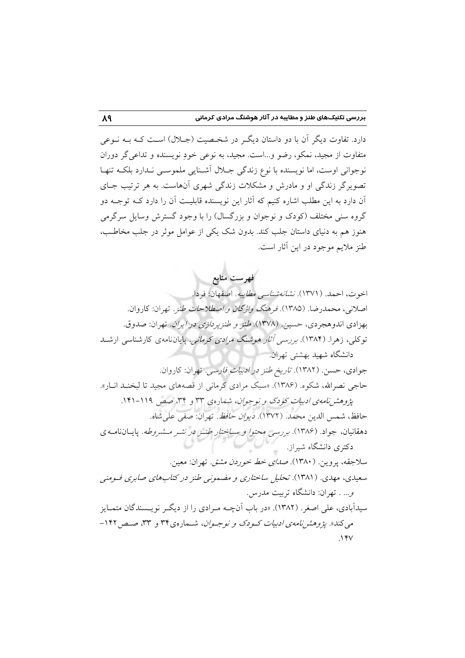دارد. تفاوت دیگر آن با دو داستان دیگ در شخیصیت (جبلال) است کبه بیه نیوعی متفاوت از مجید، نمکو، رضو و...است. مجید، به نوعی خودِ نویسنده و تداعی گر دوران نوجوانی اوست، اما نویسنده با نوع زندگی جـلال آشـنایی ملموســی نـدارد بلکــه تنهـا تصویرگر زندگی او و مادرش و مشکلات زندگی شهری آنهاست. به هر ترتیب جـای آن دارد به این مطلب اشاره کنیم که آثار این نویسنده قابلیـت آن را دارد کــه توجــه دو گروه سنی مختلف (کودک و نوجوان و بزرگسال) را با وجود گسترش وسایل سرگرمی هنوز هم به دنیای داستان جلب کند. بدون شک یکی از عوامل موثر در جلب مخاطب، طنز ملایم موجود در این آثار است.

فهرست منابع اخوت، احمد. ( ۱۳۷۱). *نشانه شناسی مطایبه*. اصفهان: فردا. اصلاني، محمدرضا. (١٣٨۵). فرهنگ *واژگان و اصطلاحات طنز .* تهران: كاروان. بهزادي اندوهجردي، حسين. (١٣٧٨). *طنز و طنزير دازي در ايران.* تهران: صدوق. توکلی، زهرا. (۱۳۸۴). برر*سی آثار هوشنگ مرادی کرمانی.* پایاننامهی کارشناسی ارشــد دانشگاه شهید بهشتی تهران. جوادی، حسن. (۱۳۸۲). *تاریخ طنز در ادبیات فارسی*. تهران: کاروان. حاجی نصرالله، شکوه. (۱۳۸۶). «سبک مرادی کرمانی از قصههای مجید تا لبخنـد انـار». یژوهشر نامهی ادبیات کودک و نوجوان، شمارهی ۳۳ و ۳۴، صص ۱۱۹–۱۴۱. حافظ، شمس الدين محمد. (١٣٧٢). *ديوان حافظ*. تهران: صفى على شاه. دهقانیان، جواد. (۱۳۸۶). بررسی محتو*ا و ساختار طنـز در نشـر مـشروطه*. پایـانiامـه ی دکتری دانشگاه شیراز. سلاجقه، پروین. (۱۳۸۰). ص*دای خط خوردن مشتق.* تهران: معین. سعیدی، مهدی. (۱۳۸۱). تحلیل ساختاری و مضمونی طنز در کتابهای صابری فسومنی و... . تهران: دانشگاه تربیت مدرس. سیدآبادی، علی اصغر . (۱۳۸۲). «در باب آنچــه مــرادی را از دیگــر نویــسندگان متمــایز می کند». یژوهشر نام*هی ادبیات کیو*دک و نوجیوان، شیعاد ه ی ۳۴ و ۳۳، صد حد ۱۴۲- $NYV$